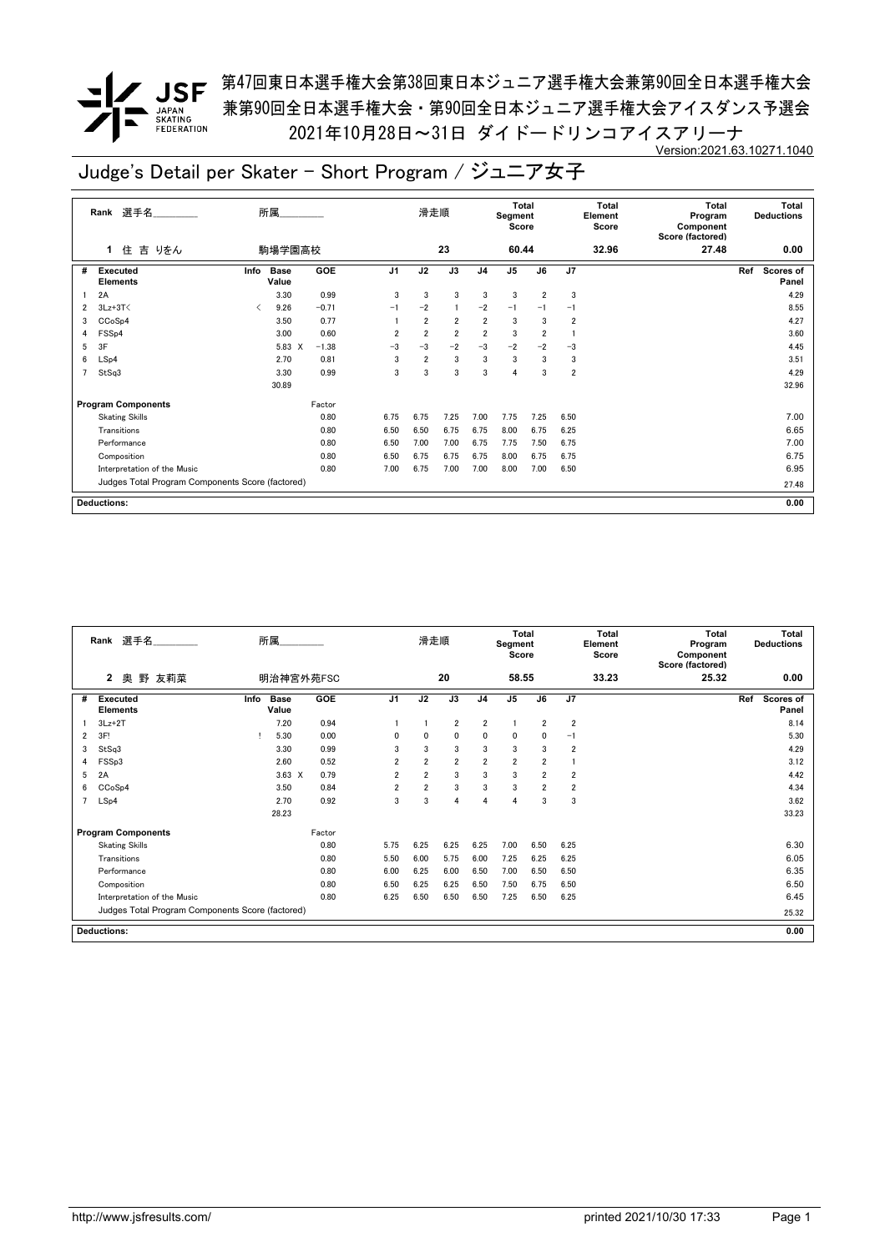**/ JSF** 第<sup>47</sup>回東日本選手権大会第38回東日本ジュニア選手権大会兼第90回全日本選手権大会 兼第90回全日本選手権大会・第90回全日本ジュニア選手権大会アイスダンス予選会 2021年10月28日~31日 ダイドードリンコアイスアリーナ Version:2021.63.10271.1040

|   | 選手名<br>Rank                                      |      | 所属                   |            |                | 滑走順            |                |                | Total<br>Segment<br>Score |                         |                         | Total<br>Element<br>Score | <b>Total</b><br>Program<br>Component<br>Score (factored) | <b>Total</b><br><b>Deductions</b> |
|---|--------------------------------------------------|------|----------------------|------------|----------------|----------------|----------------|----------------|---------------------------|-------------------------|-------------------------|---------------------------|----------------------------------------------------------|-----------------------------------|
|   | 吉 りをん<br>住<br>1                                  |      | 駒場学園高校               |            |                |                | 23             |                | 60.44                     |                         |                         | 32.96                     | 27.48                                                    | 0.00                              |
| # | Executed<br><b>Elements</b>                      | Info | <b>Base</b><br>Value | <b>GOE</b> | J <sub>1</sub> | J2             | J3             | J <sub>4</sub> | J <sub>5</sub>            | J6                      | J <sub>7</sub>          |                           |                                                          | Ref<br>Scores of<br>Panel         |
|   | 2A                                               |      | 3.30                 | 0.99       | 3              | 3              | 3              | 3              | 3                         | $\overline{2}$          | 3                       |                           |                                                          | 4.29                              |
| 2 | $3Lz + 3T$                                       | ✓    | 9.26                 | $-0.71$    | $-1$           | $-2$           |                | $-2$           | $-1$                      | $-1$                    | $-1$                    |                           |                                                          | 8.55                              |
| 3 | CCoSp4                                           |      | 3.50                 | 0.77       |                | $\overline{2}$ | $\overline{2}$ | $\overline{2}$ | 3                         | 3                       | $\overline{2}$          |                           |                                                          | 4.27                              |
| 4 | FSS <sub>p4</sub>                                |      | 3.00                 | 0.60       | $\overline{2}$ | $\overline{2}$ | $\overline{2}$ | $\overline{2}$ | 3                         | $\overline{\mathbf{2}}$ |                         |                           |                                                          | 3.60                              |
| 5 | 3F                                               |      | 5.83 X               | $-1.38$    | -3             | $-3$           | $-2$           | $-3$           | $-2$                      | $-2$                    | $-3$                    |                           |                                                          | 4.45                              |
| 6 | LSp4                                             |      | 2.70                 | 0.81       | 3              | $\overline{2}$ | 3              | 3              | 3                         | 3                       | 3                       |                           |                                                          | 3.51                              |
|   | StSq3                                            |      | 3.30                 | 0.99       | 3              | 3              | 3              | 3              | 4                         | 3                       | $\overline{\mathbf{2}}$ |                           |                                                          | 4.29                              |
|   |                                                  |      | 30.89                |            |                |                |                |                |                           |                         |                         |                           |                                                          | 32.96                             |
|   | <b>Program Components</b>                        |      |                      | Factor     |                |                |                |                |                           |                         |                         |                           |                                                          |                                   |
|   | <b>Skating Skills</b>                            |      |                      | 0.80       | 6.75           | 6.75           | 7.25           | 7.00           | 7.75                      | 7.25                    | 6.50                    |                           |                                                          | 7.00                              |
|   | Transitions                                      |      |                      | 0.80       | 6.50           | 6.50           | 6.75           | 6.75           | 8.00                      | 6.75                    | 6.25                    |                           |                                                          | 6.65                              |
|   | Performance                                      |      |                      | 0.80       | 6.50           | 7.00           | 7.00           | 6.75           | 7.75                      | 7.50                    | 6.75                    |                           |                                                          | 7.00                              |
|   | Composition                                      |      |                      | 0.80       | 6.50           | 6.75           | 6.75           | 6.75           | 8.00                      | 6.75                    | 6.75                    |                           |                                                          | 6.75                              |
|   | Interpretation of the Music                      |      |                      | 0.80       | 7.00           | 6.75           | 7.00           | 7.00           | 8.00                      | 7.00                    | 6.50                    |                           |                                                          | 6.95                              |
|   | Judges Total Program Components Score (factored) |      |                      |            |                |                |                |                |                           |                         |                         |                           |                                                          | 27.48                             |
|   | <b>Deductions:</b>                               |      |                      |            |                |                |                |                |                           |                         | 0.00                    |                           |                                                          |                                   |

|                | 選手名<br>Rank                                      |      | 所属                   |        |                | 滑走順            |                |                | <b>Total</b><br>Segment<br>Score |                |                | <b>Total</b><br>Element<br>Score | <b>Total</b><br>Program<br>Component<br>Score (factored) |     | <b>Total</b><br><b>Deductions</b> |
|----------------|--------------------------------------------------|------|----------------------|--------|----------------|----------------|----------------|----------------|----------------------------------|----------------|----------------|----------------------------------|----------------------------------------------------------|-----|-----------------------------------|
|                | $\mathbf{2}$<br>野<br>友莉菜<br>奥                    |      | 明治神宮外苑FSC            |        |                |                | 20             |                | 58.55                            |                |                | 33.23                            | 25.32                                                    |     | 0.00                              |
| #              | <b>Executed</b><br><b>Elements</b>               | Info | <b>Base</b><br>Value | GOE    | J <sub>1</sub> | J2             | J3             | J4             | $\mathsf{J}5$                    | J6             | J7             |                                  |                                                          | Ref | Scores of<br>Panel                |
|                | $3Lz+2T$                                         |      | 7.20                 | 0.94   |                |                | $\overline{2}$ | $\overline{2}$ | $\overline{1}$                   | $\overline{2}$ | $\overline{2}$ |                                  |                                                          |     | 8.14                              |
| 2              | 3F!                                              |      | 5.30                 | 0.00   | 0              | 0              | 0              | 0              | 0                                | 0              | $-1$           |                                  |                                                          |     | 5.30                              |
| 3              | StSq3                                            |      | 3.30                 | 0.99   | 3              | 3              | 3              | 3              | $\overline{3}$                   | 3              | $\overline{2}$ |                                  |                                                          |     | 4.29                              |
| 4              | FSSp3                                            |      | 2.60                 | 0.52   | $\overline{2}$ | $\overline{2}$ | $\overline{2}$ | $\overline{2}$ | $\overline{2}$                   | $\overline{2}$ | $\mathbf{1}$   |                                  |                                                          |     | 3.12                              |
| 5              | 2A                                               |      | $3.63 \times$        | 0.79   | 2              | $\overline{2}$ | 3              | 3              | 3                                | $\overline{2}$ | $\overline{2}$ |                                  |                                                          |     | 4.42                              |
| 6              | CCoSp4                                           |      | 3.50                 | 0.84   | 2              | $\overline{2}$ | 3              | 3              | 3                                | $\overline{2}$ | $\overline{2}$ |                                  |                                                          |     | 4.34                              |
| $\overline{7}$ | LSp4                                             |      | 2.70                 | 0.92   | 3              | 3              | 4              | 4              | 4                                | 3              | 3              |                                  |                                                          |     | 3.62                              |
|                |                                                  |      | 28.23                |        |                |                |                |                |                                  |                |                |                                  |                                                          |     | 33.23                             |
|                | <b>Program Components</b>                        |      |                      | Factor |                |                |                |                |                                  |                |                |                                  |                                                          |     |                                   |
|                | <b>Skating Skills</b>                            |      |                      | 0.80   | 5.75           | 6.25           | 6.25           | 6.25           | 7.00                             | 6.50           | 6.25           |                                  |                                                          |     | 6.30                              |
|                | Transitions                                      |      |                      | 0.80   | 5.50           | 6.00           | 5.75           | 6.00           | 7.25                             | 6.25           | 6.25           |                                  |                                                          |     | 6.05                              |
|                | Performance                                      |      |                      | 0.80   | 6.00           | 6.25           | 6.00           | 6.50           | 7.00                             | 6.50           | 6.50           |                                  |                                                          |     | 6.35                              |
|                | Composition                                      |      |                      | 0.80   | 6.50           | 6.25           | 6.25           | 6.50           | 7.50                             | 6.75           | 6.50           |                                  |                                                          |     | 6.50                              |
|                | Interpretation of the Music                      |      |                      | 0.80   | 6.25           | 6.50           | 6.50           | 6.50           | 7.25                             | 6.50           | 6.25           |                                  |                                                          |     | 6.45                              |
|                | Judges Total Program Components Score (factored) |      |                      |        |                |                |                |                |                                  |                |                |                                  |                                                          |     | 25.32                             |
|                | <b>Deductions:</b>                               |      |                      |        |                |                |                |                |                                  |                |                |                                  |                                                          |     | 0.00                              |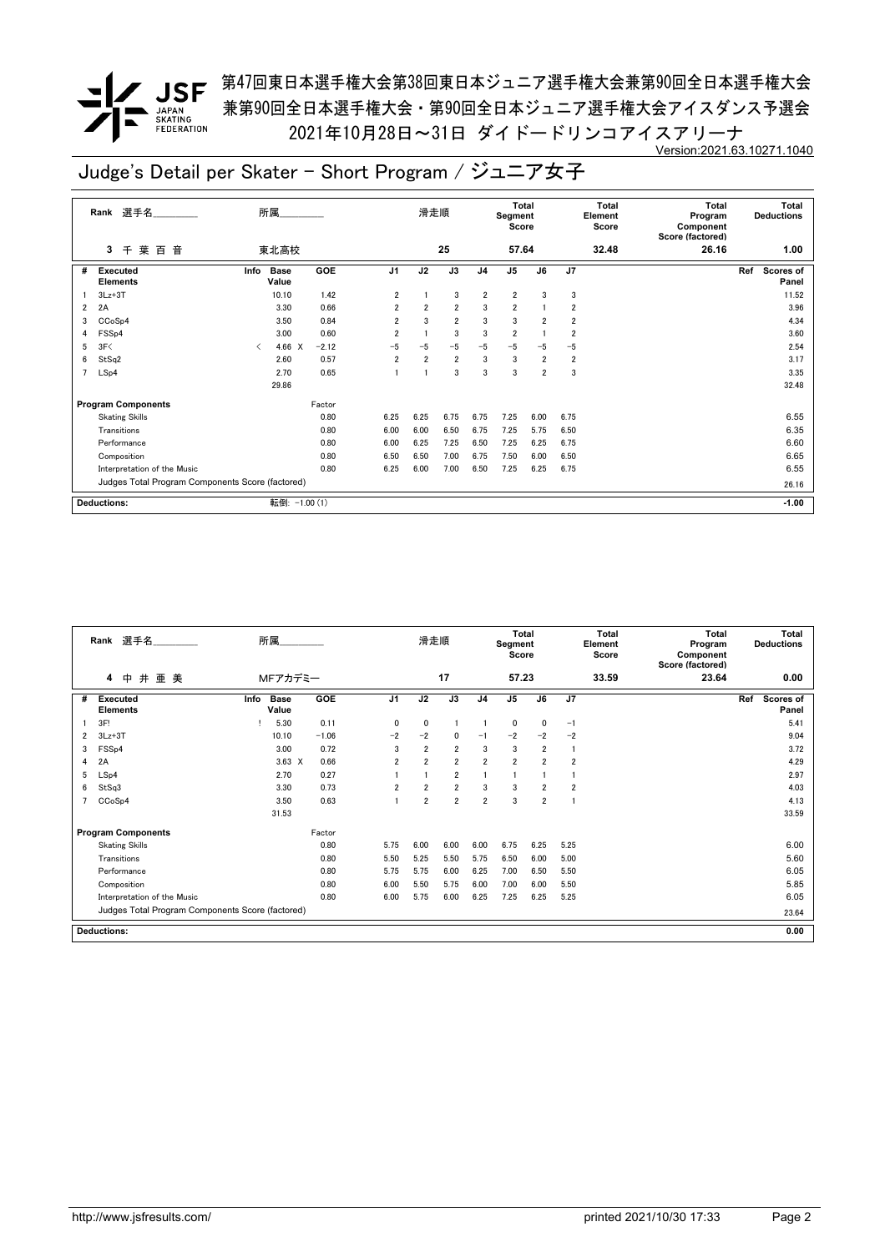**✔ JSF** <sup>第47回東日本選手権大会第38回東日本ジュニア選手権大会兼第90回全日本選手権大会</sup> 兼第90回全日本選手権大会・第90回全日本ジュニア選手権大会アイスダンス予選会 2021年10月28日~31日 ダイドードリンコアイスアリーナ Version:2021.63.10271.1040

|                | 選手名<br>Rank                                      |                                          | 所属.                  |            |                | 滑走順            |                 |                | Total<br>Segment<br>Score |                 |                         | <b>Total</b><br>Element<br>Score | <b>Total</b><br>Program<br>Component<br>Score (factored) |     | Total<br><b>Deductions</b> |
|----------------|--------------------------------------------------|------------------------------------------|----------------------|------------|----------------|----------------|-----------------|----------------|---------------------------|-----------------|-------------------------|----------------------------------|----------------------------------------------------------|-----|----------------------------|
|                | 葉<br>音<br>千<br>百<br>3                            |                                          | 東北高校                 |            |                |                | 25              |                | 57.64                     |                 |                         | 32.48                            | 26.16                                                    |     | 1.00                       |
| #              | <b>Executed</b><br><b>Elements</b>               | Info                                     | <b>Base</b><br>Value | <b>GOE</b> | J <sub>1</sub> | J <sub>2</sub> | $\overline{J3}$ | J <sub>4</sub> | $\overline{J5}$           | $\overline{J6}$ | J <sub>7</sub>          |                                  |                                                          | Ref | <b>Scores of</b><br>Panel  |
|                | $3Lz + 3T$                                       |                                          | 10.10                | 1.42       | $\overline{2}$ |                | 3               | $\overline{2}$ | $\overline{2}$            | 3               | 3                       |                                  |                                                          |     | 11.52                      |
| $\overline{2}$ | 2A                                               |                                          | 3.30                 | 0.66       | $\overline{2}$ | $\overline{2}$ | $\overline{2}$  | 3              | $\overline{2}$            |                 | 2                       |                                  |                                                          |     | 3.96                       |
| 3              | CCoSp4                                           |                                          | 3.50                 | 0.84       | $\overline{2}$ | 3              | $\overline{2}$  | 3              | 3                         | $\overline{2}$  | $\overline{\mathbf{2}}$ |                                  |                                                          |     | 4.34                       |
| 4              | FSS <sub>p4</sub>                                |                                          | 3.00                 | 0.60       | $\overline{2}$ |                | 3               | 3              | $\overline{2}$            |                 | 2                       |                                  |                                                          |     | 3.60                       |
| 5              | 3F<                                              | $\overline{\left\langle \right\rangle }$ | 4.66 X               | $-2.12$    | $-5$           | $-5$           | $-5$            | $-5$           | $-5$                      | $-5$            | $-5$                    |                                  |                                                          |     | 2.54                       |
| 6              | StSq2                                            |                                          | 2.60                 | 0.57       | $\overline{2}$ | $\overline{2}$ | $\overline{2}$  | 3              | 3                         | $\overline{2}$  | $\overline{2}$          |                                  |                                                          |     | 3.17                       |
| 7              | LSp4                                             |                                          | 2.70                 | 0.65       |                |                | 3               | 3              | 3                         | $\overline{2}$  | 3                       |                                  |                                                          |     | 3.35                       |
|                |                                                  |                                          | 29.86                |            |                |                |                 |                |                           |                 |                         |                                  |                                                          |     | 32.48                      |
|                | <b>Program Components</b>                        |                                          |                      | Factor     |                |                |                 |                |                           |                 |                         |                                  |                                                          |     |                            |
|                | <b>Skating Skills</b>                            |                                          |                      | 0.80       | 6.25           | 6.25           | 6.75            | 6.75           | 7.25                      | 6.00            | 6.75                    |                                  |                                                          |     | 6.55                       |
|                | Transitions                                      |                                          |                      | 0.80       | 6.00           | 6.00           | 6.50            | 6.75           | 7.25                      | 5.75            | 6.50                    |                                  |                                                          |     | 6.35                       |
|                | Performance                                      |                                          |                      | 0.80       | 6.00           | 6.25           | 7.25            | 6.50           | 7.25                      | 6.25            | 6.75                    |                                  |                                                          |     | 6.60                       |
|                | Composition                                      |                                          |                      | 0.80       | 6.50           | 6.50           | 7.00            | 6.75           | 7.50                      | 6.00            | 6.50                    |                                  |                                                          |     | 6.65                       |
|                | Interpretation of the Music                      |                                          |                      | 0.80       | 6.25           | 6.00           | 7.00            | 6.50           | 7.25                      | 6.25            | 6.75                    |                                  |                                                          |     | 6.55                       |
|                | Judges Total Program Components Score (factored) |                                          |                      |            |                |                |                 |                |                           |                 |                         |                                  |                                                          |     | 26.16                      |
|                | <b>Deductions:</b>                               |                                          | 転倒: -1.00 (1)        |            |                |                |                 |                |                           |                 |                         |                                  |                                                          |     | $-1.00$                    |

|   | Rank 選手名                                         | 所属                           |         |                | 滑走順            |                |                | Total<br>Segment<br>Score |                |                | <b>Total</b><br>Element<br>Score | <b>Total</b><br>Program<br>Component<br>Score (factored) | Total<br><b>Deductions</b> |
|---|--------------------------------------------------|------------------------------|---------|----------------|----------------|----------------|----------------|---------------------------|----------------|----------------|----------------------------------|----------------------------------------------------------|----------------------------|
|   | 井<br>亜 美<br>4<br>中                               | MFアカデミー                      |         |                |                | 17             |                | 57.23                     |                |                | 33.59                            | 23.64                                                    | 0.00                       |
| # | <b>Executed</b><br><b>Elements</b>               | <b>Base</b><br>Info<br>Value | GOE     | J <sub>1</sub> | J2             | J3             | J <sub>4</sub> | J <sub>5</sub>            | J6             | J7             |                                  |                                                          | Ref<br>Scores of<br>Panel  |
|   | 3F!                                              | 5.30                         | 0.11    | $\mathbf{0}$   | 0              |                |                | 0                         | $\mathbf{0}$   | $-1$           |                                  |                                                          | 5.41                       |
| 2 | $3Lz + 3T$                                       | 10.10                        | $-1.06$ | $-2$           | $-2$           | $\mathbf{0}$   | $-1$           | $-2$                      | $-2$           | $-2$           |                                  |                                                          | 9.04                       |
| 3 | FSS <sub>p4</sub>                                | 3.00                         | 0.72    | 3              | $\overline{2}$ | $\overline{2}$ | 3              | 3                         | $\overline{2}$ | $\mathbf{1}$   |                                  |                                                          | 3.72                       |
| 4 | 2A                                               | $3.63 \times$                | 0.66    | $\overline{2}$ | $\overline{2}$ | $\overline{2}$ | $\overline{2}$ | $\overline{2}$            | $\overline{2}$ | $\overline{2}$ |                                  |                                                          | 4.29                       |
| 5 | LSp4                                             | 2.70                         | 0.27    |                |                | $\overline{2}$ |                | $\overline{1}$            |                |                |                                  |                                                          | 2.97                       |
| 6 | StSq3                                            | 3.30                         | 0.73    | $\overline{2}$ | $\overline{2}$ | $\overline{2}$ | 3              | 3                         | $\overline{2}$ | $\overline{2}$ |                                  |                                                          | 4.03                       |
|   | CCoSp4                                           | 3.50                         | 0.63    |                | $\overline{2}$ | $\overline{2}$ | $\overline{2}$ | 3                         | $\overline{2}$ | 1              |                                  |                                                          | 4.13                       |
|   |                                                  | 31.53                        |         |                |                |                |                |                           |                |                |                                  |                                                          | 33.59                      |
|   | <b>Program Components</b>                        |                              | Factor  |                |                |                |                |                           |                |                |                                  |                                                          |                            |
|   | <b>Skating Skills</b>                            |                              | 0.80    | 5.75           | 6.00           | 6.00           | 6.00           | 6.75                      | 6.25           | 5.25           |                                  |                                                          | 6.00                       |
|   | Transitions                                      |                              | 0.80    | 5.50           | 5.25           | 5.50           | 5.75           | 6.50                      | 6.00           | 5.00           |                                  |                                                          | 5.60                       |
|   | Performance                                      |                              | 0.80    | 5.75           | 5.75           | 6.00           | 6.25           | 7.00                      | 6.50           | 5.50           |                                  |                                                          | 6.05                       |
|   | Composition                                      |                              | 0.80    | 6.00           | 5.50           | 5.75           | 6.00           | 7.00                      | 6.00           | 5.50           |                                  |                                                          | 5.85                       |
|   | Interpretation of the Music                      |                              | 0.80    | 6.00           | 5.75           | 6.00           | 6.25           | 7.25                      | 6.25           | 5.25           |                                  |                                                          | 6.05                       |
|   | Judges Total Program Components Score (factored) |                              |         |                |                |                |                |                           |                |                |                                  |                                                          | 23.64                      |
|   | <b>Deductions:</b>                               |                              |         |                |                |                |                |                           |                |                |                                  |                                                          | 0.00                       |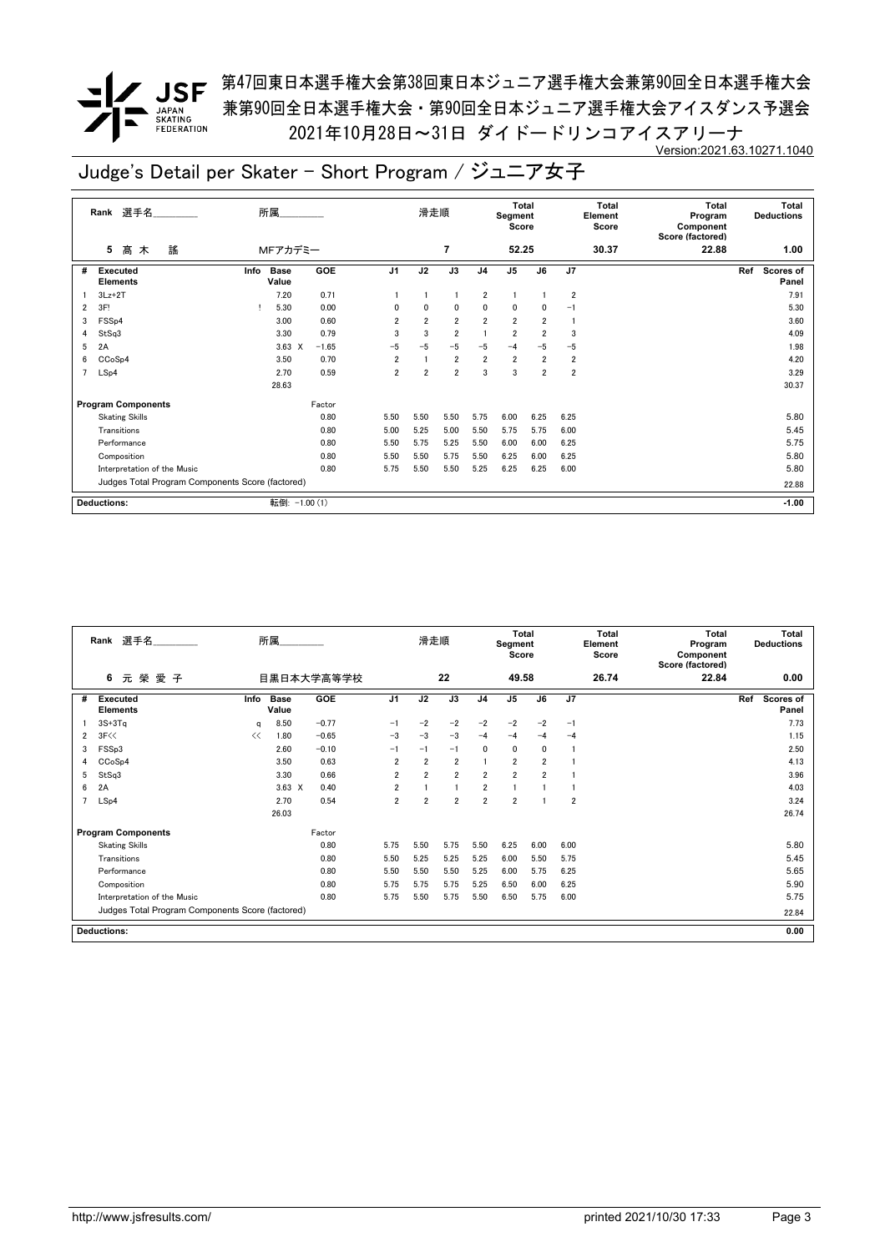**/ JSF** 第47回東日本選手権大会第38回東日本ジュニア選手権大会兼第90回全日本選手権大会 兼第90回全日本選手権大会・第90回全日本ジュニア選手権大会アイスダンス予選会 2021年10月28日~31日 ダイドードリンコアイスアリーナ Version:2021.63.10271.1040

|   | 選手名<br>Rank                                      | 所属.                          |         |                | 滑走順            |                |                | Total<br>Segment<br>Score |                         |                | <b>Total</b><br>Element<br>Score | <b>Total</b><br>Program<br>Component<br>Score (factored) | Total<br><b>Deductions</b>       |
|---|--------------------------------------------------|------------------------------|---------|----------------|----------------|----------------|----------------|---------------------------|-------------------------|----------------|----------------------------------|----------------------------------------------------------|----------------------------------|
|   | 謠<br>髙<br>5<br>木                                 | MFアカデミー                      |         |                |                | $\overline{7}$ |                | 52.25                     |                         |                | 30.37                            | 22.88                                                    | 1.00                             |
| # | <b>Executed</b><br><b>Elements</b>               | <b>Base</b><br>Info<br>Value | GOE     | J <sub>1</sub> | J2             | J3             | J <sub>4</sub> | J <sub>5</sub>            | J6                      | J7             |                                  |                                                          | Ref<br><b>Scores of</b><br>Panel |
|   | $3Lz + 2T$                                       | 7.20                         | 0.71    |                |                |                | $\overline{2}$ |                           |                         | $\overline{2}$ |                                  |                                                          | 7.91                             |
| 2 | 3F!                                              | 5.30                         | 0.00    | 0              | 0              | 0              | 0              | 0                         | 0                       | -1             |                                  |                                                          | 5.30                             |
| 3 | FSS <sub>p4</sub>                                | 3.00                         | 0.60    | $\overline{2}$ | $\overline{2}$ | $\overline{2}$ | $\overline{2}$ | $\overline{2}$            | $\overline{2}$          |                |                                  |                                                          | 3.60                             |
| 4 | StSq3                                            | 3.30                         | 0.79    | 3              | 3              | $\overline{2}$ |                | $\overline{\mathbf{2}}$   | $\overline{2}$          | 3              |                                  |                                                          | 4.09                             |
| 5 | 2A                                               | $3.63 \times$                | $-1.65$ | $-5$           | $-5$           | $-5$           | $-5$           | $-4$                      | $-5$                    | $-5$           |                                  |                                                          | 1.98                             |
| 6 | CCoSp4                                           | 3.50                         | 0.70    | $\overline{2}$ |                | $\overline{2}$ | $\overline{2}$ | $\overline{2}$            | $\overline{\mathbf{2}}$ | $\overline{2}$ |                                  |                                                          | 4.20                             |
| 7 | LSp4                                             | 2.70                         | 0.59    | $\overline{2}$ | $\overline{2}$ | $\overline{2}$ | 3              | 3                         | $\overline{2}$          | 2              |                                  |                                                          | 3.29                             |
|   |                                                  | 28.63                        |         |                |                |                |                |                           |                         |                |                                  |                                                          | 30.37                            |
|   | <b>Program Components</b>                        |                              | Factor  |                |                |                |                |                           |                         |                |                                  |                                                          |                                  |
|   | <b>Skating Skills</b>                            |                              | 0.80    | 5.50           | 5.50           | 5.50           | 5.75           | 6.00                      | 6.25                    | 6.25           |                                  |                                                          | 5.80                             |
|   | Transitions                                      |                              | 0.80    | 5.00           | 5.25           | 5.00           | 5.50           | 5.75                      | 5.75                    | 6.00           |                                  |                                                          | 5.45                             |
|   | Performance                                      |                              | 0.80    | 5.50           | 5.75           | 5.25           | 5.50           | 6.00                      | 6.00                    | 6.25           |                                  |                                                          | 5.75                             |
|   | Composition                                      |                              | 0.80    | 5.50           | 5.50           | 5.75           | 5.50           | 6.25                      | 6.00                    | 6.25           |                                  |                                                          | 5.80                             |
|   | Interpretation of the Music                      |                              | 0.80    | 5.75           | 5.50           | 5.50           | 5.25           | 6.25                      | 6.25                    | 6.00           |                                  |                                                          | 5.80                             |
|   | Judges Total Program Components Score (factored) |                              |         |                |                |                |                |                           |                         |                |                                  |                                                          | 22.88                            |
|   | <b>Deductions:</b>                               | 転倒: -1.00 (1)                |         |                |                |                |                |                           |                         |                |                                  |                                                          | $-1.00$                          |

|                | 選手名<br>Rank                                      |      | 所属                   |            |                | 滑走順            |                |                | <b>Total</b><br>Segment<br>Score |                |                | <b>Total</b><br>Element<br>Score | <b>Total</b><br>Program<br>Component<br>Score (factored) | Total<br><b>Deductions</b>       |
|----------------|--------------------------------------------------|------|----------------------|------------|----------------|----------------|----------------|----------------|----------------------------------|----------------|----------------|----------------------------------|----------------------------------------------------------|----------------------------------|
|                | 6<br>元榮愛子                                        |      |                      | 目黒日本大学高等学校 |                |                | 22             |                | 49.58                            |                |                | 26.74                            | 22.84                                                    | 0.00                             |
| #              | Executed<br><b>Elements</b>                      | Info | <b>Base</b><br>Value | <b>GOE</b> | J <sub>1</sub> | J2             | J3             | J <sub>4</sub> | J5                               | J6             | J7             |                                  |                                                          | Ref<br><b>Scores of</b><br>Panel |
|                | $3S+3Tq$                                         | q    | 8.50                 | $-0.77$    | $-1$           | $-2$           | $-2$           | $-2$           | $-2$                             | $-2$           | $-1$           |                                  |                                                          | 7.73                             |
| 2              | 3F<<                                             | <<   | 1.80                 | $-0.65$    | $-3$           | $-3$           | $-3$           | $-4$           | $-4$                             | $-4$           | $-4$           |                                  |                                                          | 1.15                             |
| 3              | FSS <sub>p3</sub>                                |      | 2.60                 | $-0.10$    | $-1$           | $-1$           | $-1$           | $\mathbf{0}$   | $\mathbf{0}$                     | $\mathbf{0}$   | -1             |                                  |                                                          | 2.50                             |
| 4              | CCoSp4                                           |      | 3.50                 | 0.63       | $\overline{2}$ | $\overline{2}$ | $\overline{2}$ |                | $\overline{2}$                   | $\overline{2}$ |                |                                  |                                                          | 4.13                             |
| 5              | StSq3                                            |      | 3.30                 | 0.66       | $\overline{2}$ | $\overline{2}$ | $\overline{2}$ | $\overline{2}$ | $\overline{2}$                   | $\overline{2}$ |                |                                  |                                                          | 3.96                             |
| 6              | 2A                                               |      | $3.63 \times$        | 0.40       | 2              |                |                | $\overline{2}$ |                                  |                |                |                                  |                                                          | 4.03                             |
| $\overline{7}$ | LSp4                                             |      | 2.70                 | 0.54       | $\overline{2}$ | $\overline{2}$ | $\overline{2}$ | $\overline{2}$ | $\overline{2}$                   |                | $\overline{2}$ |                                  |                                                          | 3.24                             |
|                |                                                  |      | 26.03                |            |                |                |                |                |                                  |                |                |                                  |                                                          | 26.74                            |
|                | <b>Program Components</b>                        |      |                      | Factor     |                |                |                |                |                                  |                |                |                                  |                                                          |                                  |
|                | <b>Skating Skills</b>                            |      |                      | 0.80       | 5.75           | 5.50           | 5.75           | 5.50           | 6.25                             | 6.00           | 6.00           |                                  |                                                          | 5.80                             |
|                | Transitions                                      |      |                      | 0.80       | 5.50           | 5.25           | 5.25           | 5.25           | 6.00                             | 5.50           | 5.75           |                                  |                                                          | 5.45                             |
|                | Performance                                      |      |                      | 0.80       | 5.50           | 5.50           | 5.50           | 5.25           | 6.00                             | 5.75           | 6.25           |                                  |                                                          | 5.65                             |
|                | Composition                                      |      |                      | 0.80       | 5.75           | 5.75           | 5.75           | 5.25           | 6.50                             | 6.00           | 6.25           |                                  |                                                          | 5.90                             |
|                | Interpretation of the Music                      |      |                      | 0.80       | 5.75           | 5.50           | 5.75           | 5.50           | 6.50                             | 5.75           | 6.00           |                                  |                                                          | 5.75                             |
|                | Judges Total Program Components Score (factored) |      |                      |            |                |                |                |                |                                  |                |                | 22.84                            |                                                          |                                  |
|                | <b>Deductions:</b>                               |      |                      |            |                |                |                |                |                                  |                |                |                                  |                                                          | 0.00                             |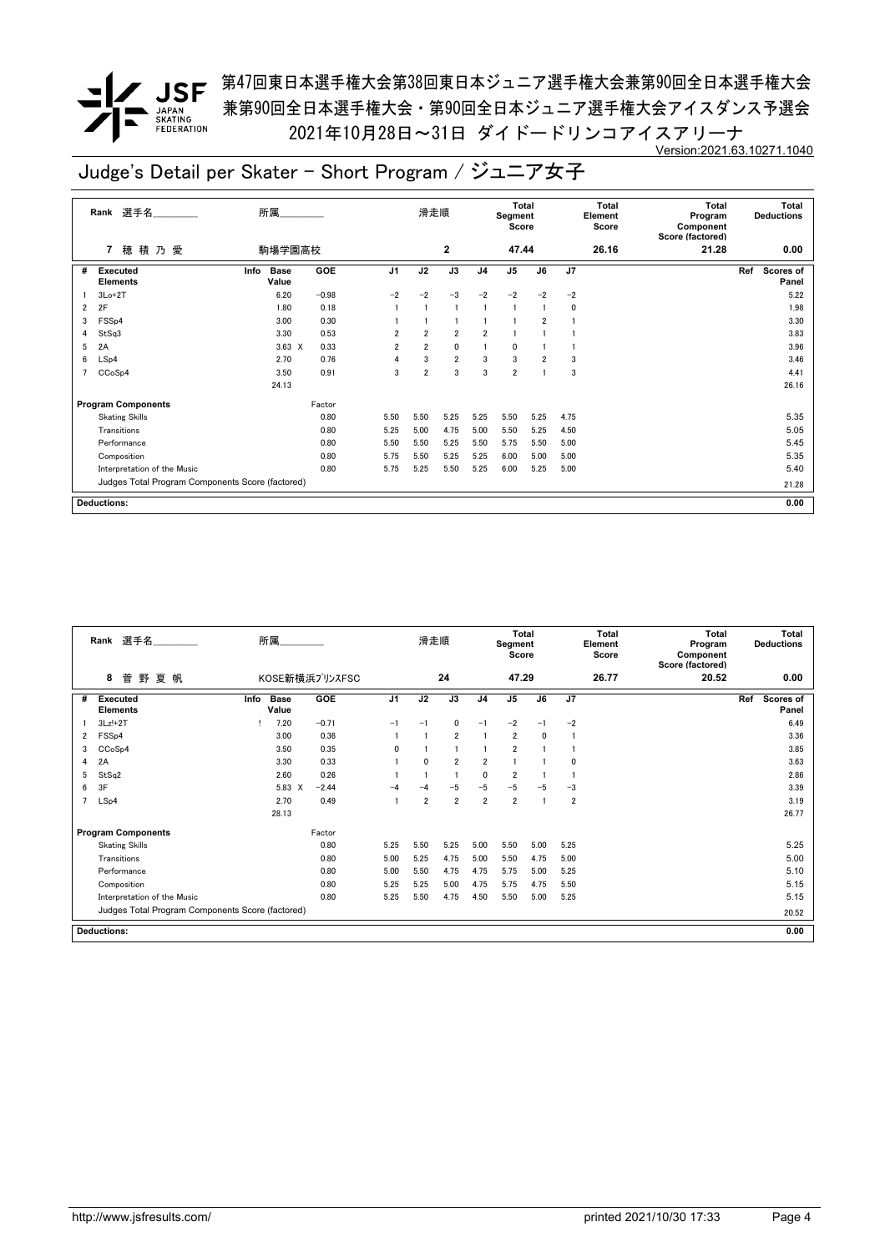**/ JSF** 第47回東日本選手権大会第38回東日本ジュニア選手権大会兼第90回全日本選手権大会 兼第90回全日本選手権大会・第90回全日本ジュニア選手権大会アイスダンス予選会 2021年10月28日~31日 ダイドードリンコアイスアリーナ Version:2021.63.10271.1040

|   | 選手名<br>Rank                 | 所属                                               |            |                | 滑走順            |                |                | <b>Total</b><br>Segment<br>Score |                |                | Total<br>Element<br>Score | <b>Total</b><br>Program<br>Component<br>Score (factored) |     | Total<br><b>Deductions</b> |
|---|-----------------------------|--------------------------------------------------|------------|----------------|----------------|----------------|----------------|----------------------------------|----------------|----------------|---------------------------|----------------------------------------------------------|-----|----------------------------|
|   | 穂積乃愛<br>$\overline{7}$      | 駒場学園高校                                           |            |                |                | $\mathbf{2}$   |                | 47.44                            |                |                | 26.16                     | 21.28                                                    |     | 0.00                       |
| # | Executed<br><b>Elements</b> | <b>Base</b><br>Info<br>Value                     | <b>GOE</b> | J <sub>1</sub> | J2             | J3             | J <sub>4</sub> | J <sub>5</sub>                   | J6             | J <sub>7</sub> |                           |                                                          | Ref | Scores of<br>Panel         |
|   | $3Lo+2T$                    | 6.20                                             | $-0.98$    | $-2$           | $-2$           | $-3$           | $-2$           | $-2$                             | $-2$           | $-2$           |                           |                                                          |     | 5.22                       |
| 2 | 2F                          | 1.80                                             | 0.18       |                |                |                |                |                                  |                | 0              |                           |                                                          |     | 1.98                       |
| 3 | FSS <sub>p4</sub>           | 3.00                                             | 0.30       |                |                |                |                |                                  | 2              |                |                           |                                                          |     | 3.30                       |
| 4 | StSq3                       | 3.30                                             | 0.53       | $\overline{2}$ | $\overline{2}$ | $\overline{2}$ | $\overline{2}$ |                                  |                |                |                           |                                                          |     | 3.83                       |
| 5 | 2A                          | $3.63 \times$                                    | 0.33       | $\overline{2}$ | $\overline{2}$ | $\mathbf 0$    |                | 0                                |                |                |                           |                                                          |     | 3.96                       |
| 6 | LSp4                        | 2.70                                             | 0.76       | 4              | 3              | $\overline{2}$ | 3              | 3                                | $\overline{2}$ | 3              |                           |                                                          |     | 3.46                       |
|   | CCoSp4                      | 3.50                                             | 0.91       | 3              | $\overline{2}$ | 3              | 3              | $\overline{2}$                   |                | 3              |                           |                                                          |     | 4.41                       |
|   |                             | 24.13                                            |            |                |                |                |                |                                  |                |                |                           |                                                          |     | 26.16                      |
|   | <b>Program Components</b>   |                                                  | Factor     |                |                |                |                |                                  |                |                |                           |                                                          |     |                            |
|   | <b>Skating Skills</b>       |                                                  | 0.80       | 5.50           | 5.50           | 5.25           | 5.25           | 5.50                             | 5.25           | 4.75           |                           |                                                          |     | 5.35                       |
|   | Transitions                 |                                                  | 0.80       | 5.25           | 5.00           | 4.75           | 5.00           | 5.50                             | 5.25           | 4.50           |                           |                                                          |     | 5.05                       |
|   | Performance                 |                                                  | 0.80       | 5.50           | 5.50           | 5.25           | 5.50           | 5.75                             | 5.50           | 5.00           |                           |                                                          |     | 5.45                       |
|   | Composition                 |                                                  | 0.80       | 5.75           | 5.50           | 5.25           | 5.25           | 6.00                             | 5.00           | 5.00           |                           |                                                          |     | 5.35                       |
|   | Interpretation of the Music |                                                  | 0.80       | 5.75           | 5.25           | 5.50           | 5.25           | 6.00                             | 5.25           | 5.00           |                           |                                                          |     | 5.40                       |
|   |                             | Judges Total Program Components Score (factored) |            |                |                |                |                |                                  |                |                |                           |                                                          |     | 21.28                      |
|   | <b>Deductions:</b>          |                                                  |            |                |                |                |                |                                  |                |                |                           |                                                          |     | 0.00                       |

|                | Rank 選手名                                         |      | 所属                   |                |                | 滑走順            |                |                | <b>Total</b><br>Segment<br>Score |              |                | <b>Total</b><br>Element<br>Score | <b>Total</b><br>Program<br>Component<br>Score (factored) |     | <b>Total</b><br><b>Deductions</b> |
|----------------|--------------------------------------------------|------|----------------------|----------------|----------------|----------------|----------------|----------------|----------------------------------|--------------|----------------|----------------------------------|----------------------------------------------------------|-----|-----------------------------------|
|                | 菅<br>野<br>夏<br>帆<br>8                            |      |                      | KOSE新横浜プリンスFSC |                |                | 24             |                | 47.29                            |              |                | 26.77                            | 20.52                                                    |     | 0.00                              |
| #              | Executed<br><b>Elements</b>                      | Info | <b>Base</b><br>Value | <b>GOE</b>     | J <sub>1</sub> | J2             | J3             | J4             | $\mathsf{J}5$                    | J6           | J7             |                                  |                                                          | Ref | <b>Scores of</b><br>Panel         |
|                | $3Lz!+2T$                                        |      | 7.20                 | $-0.71$        | $-1$           | $-1$           | 0              | $-1$           | $-2$                             | $-1$         | $-2$           |                                  |                                                          |     | 6.49                              |
| 2              | FSS <sub>p4</sub>                                |      | 3.00                 | 0.36           |                |                | $\overline{2}$ |                | $\overline{2}$                   | $\mathbf{0}$ | $\mathbf{1}$   |                                  |                                                          |     | 3.36                              |
| 3              | CCoSp4                                           |      | 3.50                 | 0.35           | $\Omega$       |                |                |                | $\overline{2}$                   |              |                |                                  |                                                          |     | 3.85                              |
| 4              | 2A                                               |      | 3.30                 | 0.33           |                | $\mathbf{0}$   | $\overline{2}$ | $\overline{2}$ |                                  |              | $\Omega$       |                                  |                                                          |     | 3.63                              |
| 5              | StSq2                                            |      | 2.60                 | 0.26           |                |                | 1              | $\mathbf{0}$   | $\overline{2}$                   |              |                |                                  |                                                          |     | 2.86                              |
| 6              | 3F                                               |      | 5.83 X               | $-2.44$        | -4             | $-\Delta$      | $-5$           | $-5$           | $-5$                             | $-5$         | $-3$           |                                  |                                                          |     | 3.39                              |
| $\overline{7}$ | LSp4                                             |      | 2.70                 | 0.49           |                | $\overline{2}$ | $\overline{2}$ | $\overline{2}$ | $\overline{2}$                   |              | $\overline{2}$ |                                  |                                                          |     | 3.19                              |
|                |                                                  |      | 28.13                |                |                |                |                |                |                                  |              |                |                                  |                                                          |     | 26.77                             |
|                | <b>Program Components</b>                        |      |                      | Factor         |                |                |                |                |                                  |              |                |                                  |                                                          |     |                                   |
|                | <b>Skating Skills</b>                            |      |                      | 0.80           | 5.25           | 5.50           | 5.25           | 5.00           | 5.50                             | 5.00         | 5.25           |                                  |                                                          |     | 5.25                              |
|                | Transitions                                      |      |                      | 0.80           | 5.00           | 5.25           | 4.75           | 5.00           | 5.50                             | 4.75         | 5.00           |                                  |                                                          |     | 5.00                              |
|                | Performance                                      |      |                      | 0.80           | 5.00           | 5.50           | 4.75           | 4.75           | 5.75                             | 5.00         | 5.25           |                                  |                                                          |     | 5.10                              |
|                | Composition                                      |      |                      | 0.80           | 5.25           | 5.25           | 5.00           | 4.75           | 5.75                             | 4.75         | 5.50           |                                  |                                                          |     | 5.15                              |
|                | Interpretation of the Music                      |      |                      | 0.80           | 5.25           | 5.50           | 4.75           | 4.50           | 5.50                             | 5.00         | 5.25           |                                  |                                                          |     | 5.15                              |
|                | Judges Total Program Components Score (factored) |      |                      |                |                |                |                |                |                                  |              |                |                                  |                                                          |     | 20.52                             |
|                | <b>Deductions:</b>                               |      |                      |                |                |                |                |                |                                  |              |                |                                  |                                                          |     | 0.00                              |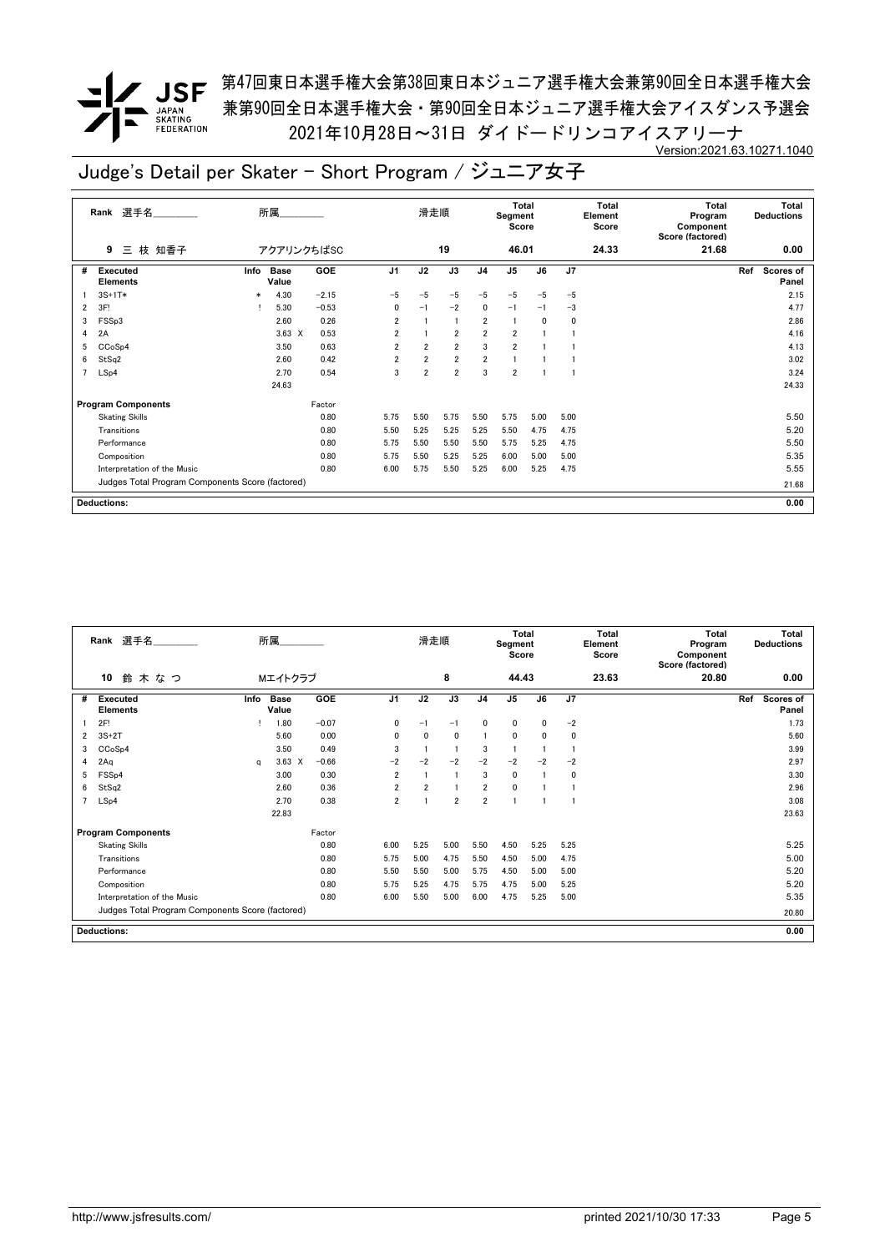**/ JSF** 第47回東日本選手権大会第38回東日本ジュニア選手権大会兼第90回全日本選手権大会 兼第90回全日本選手権大会・第90回全日本ジュニア選手権大会アイスダンス予選会 2021年10月28日~31日 ダイドードリンコアイスアリーナ Version:2021.63.10271.1040

|   | 選手名<br>Rank                                      |        | 所属            |            |                | 滑走順            |                |                | <b>Total</b><br>Segment<br>Score |      |                | Total<br>Element<br>Score | <b>Total</b><br>Program<br>Component<br>Score (factored) |     | Total<br><b>Deductions</b> |
|---|--------------------------------------------------|--------|---------------|------------|----------------|----------------|----------------|----------------|----------------------------------|------|----------------|---------------------------|----------------------------------------------------------|-----|----------------------------|
|   | 三 枝 知香子<br>9                                     |        | アクアリンクちばSC    |            |                |                | 19             |                | 46.01                            |      |                | 24.33                     | 21.68                                                    |     | 0.00                       |
| # | Executed<br><b>Elements</b>                      | Info   | Base<br>Value | <b>GOE</b> | J <sub>1</sub> | J2             | J3             | J <sub>4</sub> | J <sub>5</sub>                   | J6   | J <sub>7</sub> |                           |                                                          | Ref | Scores of<br>Panel         |
|   | $3S+1T*$                                         | $\ast$ | 4.30          | $-2.15$    | $-5$           | $-5$           | $-5$           | $-5$           | $-5$                             | $-5$ | $-5$           |                           |                                                          |     | 2.15                       |
| 2 | 3F!                                              |        | 5.30          | $-0.53$    | 0              | $-1$           | $-2$           | 0              | $-1$                             | $-1$ | $-3$           |                           |                                                          |     | 4.77                       |
| 3 | FSSp3                                            |        | 2.60          | 0.26       | $\overline{2}$ |                | $\overline{1}$ | $\overline{2}$ | -1                               | 0    | 0              |                           |                                                          |     | 2.86                       |
| 4 | 2A                                               |        | $3.63 \times$ | 0.53       | $\overline{2}$ |                | $\overline{2}$ | $\overline{2}$ | $\overline{2}$                   |      |                |                           |                                                          |     | 4.16                       |
| 5 | CCoSp4                                           |        | 3.50          | 0.63       | $\overline{2}$ | $\overline{2}$ | $\overline{2}$ | 3              | $\overline{2}$                   |      |                |                           |                                                          |     | 4.13                       |
| 6 | StSq2                                            |        | 2.60          | 0.42       | $\overline{2}$ | $\overline{2}$ | $\overline{2}$ | $\overline{2}$ |                                  |      |                |                           |                                                          |     | 3.02                       |
| 7 | LSp4                                             |        | 2.70          | 0.54       | 3              | $\overline{2}$ | $\overline{2}$ | 3              | $\overline{2}$                   |      |                |                           |                                                          |     | 3.24                       |
|   |                                                  |        | 24.63         |            |                |                |                |                |                                  |      |                |                           |                                                          |     | 24.33                      |
|   | <b>Program Components</b>                        |        |               | Factor     |                |                |                |                |                                  |      |                |                           |                                                          |     |                            |
|   | <b>Skating Skills</b>                            |        |               | 0.80       | 5.75           | 5.50           | 5.75           | 5.50           | 5.75                             | 5.00 | 5.00           |                           |                                                          |     | 5.50                       |
|   | Transitions                                      |        |               | 0.80       | 5.50           | 5.25           | 5.25           | 5.25           | 5.50                             | 4.75 | 4.75           |                           |                                                          |     | 5.20                       |
|   | Performance                                      |        |               | 0.80       | 5.75           | 5.50           | 5.50           | 5.50           | 5.75                             | 5.25 | 4.75           |                           |                                                          |     | 5.50                       |
|   | Composition                                      |        |               | 0.80       | 5.75           | 5.50           | 5.25           | 5.25           | 6.00                             | 5.00 | 5.00           |                           |                                                          |     | 5.35                       |
|   | Interpretation of the Music                      |        |               | 0.80       | 6.00           | 5.75           | 5.50           | 5.25           | 6.00                             | 5.25 | 4.75           |                           |                                                          |     | 5.55                       |
|   | Judges Total Program Components Score (factored) |        |               |            |                |                |                |                |                                  |      |                |                           |                                                          |     | 21.68                      |
|   | <b>Deductions:</b>                               |        |               |            |                |                |                |                |                                  |      |                |                           |                                                          |     | 0.00                       |

|   | Rank 選手名                                         |      | 所属                   |         |                | 滑走順            |                |                | <b>Total</b><br>Segment<br>Score |              |      | Total<br>Element<br>Score | <b>Total</b><br>Program<br>Component<br>Score (factored) |     | Total<br><b>Deductions</b> |
|---|--------------------------------------------------|------|----------------------|---------|----------------|----------------|----------------|----------------|----------------------------------|--------------|------|---------------------------|----------------------------------------------------------|-----|----------------------------|
|   | 10<br>鈴木なつ                                       |      | Mエイトクラブ              |         |                |                | 8              |                | 44.43                            |              |      | 23.63                     | 20.80                                                    |     | 0.00                       |
| # | <b>Executed</b><br><b>Elements</b>               | Info | <b>Base</b><br>Value | GOE     | J <sub>1</sub> | J2             | J3             | J <sub>4</sub> | J <sub>5</sub>                   | J6           | J7   |                           |                                                          | Ref | Scores of<br>Panel         |
|   | 2F!                                              |      | 1.80                 | $-0.07$ | $\mathbf{0}$   | $-1$           | $-1$           | $\mathbf{0}$   | $\mathbf 0$                      | $\mathbf{0}$ | $-2$ |                           |                                                          |     | 1.73                       |
| 2 | $3S+2T$                                          |      | 5.60                 | 0.00    | $\mathbf{0}$   | $\mathbf{0}$   | $\mathbf{0}$   |                | $\mathbf{0}$                     | $\mathbf{0}$ | 0    |                           |                                                          |     | 5.60                       |
| 3 | CCoSp4                                           |      | 3.50                 | 0.49    | 3              |                |                | 3              |                                  |              |      |                           |                                                          |     | 3.99                       |
| 4 | 2Aq                                              | a    | $3.63 \times$        | $-0.66$ | $-2$           | $-2$           | $-2$           | $-2$           | $-2$                             | $-2$         | $-2$ |                           |                                                          |     | 2.97                       |
| 5 | FSS <sub>p4</sub>                                |      | 3.00                 | 0.30    | $\overline{2}$ |                |                | 3              | $\mathbf 0$                      |              | 0    |                           |                                                          |     | 3.30                       |
| 6 | StSq2                                            |      | 2.60                 | 0.36    | $\overline{2}$ | $\overline{2}$ |                | $\overline{2}$ | $\mathbf{0}$                     |              |      |                           |                                                          |     | 2.96                       |
|   | LSp4                                             |      | 2.70                 | 0.38    | $\overline{2}$ |                | $\overline{2}$ | $\overline{2}$ |                                  |              |      |                           |                                                          |     | 3.08                       |
|   |                                                  |      | 22.83                |         |                |                |                |                |                                  |              |      |                           |                                                          |     | 23.63                      |
|   | <b>Program Components</b>                        |      |                      | Factor  |                |                |                |                |                                  |              |      |                           |                                                          |     |                            |
|   | <b>Skating Skills</b>                            |      |                      | 0.80    | 6.00           | 5.25           | 5.00           | 5.50           | 4.50                             | 5.25         | 5.25 |                           |                                                          |     | 5.25                       |
|   | Transitions                                      |      |                      | 0.80    | 5.75           | 5.00           | 4.75           | 5.50           | 4.50                             | 5.00         | 4.75 |                           |                                                          |     | 5.00                       |
|   | Performance                                      |      |                      | 0.80    | 5.50           | 5.50           | 5.00           | 5.75           | 4.50                             | 5.00         | 5.00 |                           |                                                          |     | 5.20                       |
|   | Composition                                      |      |                      | 0.80    | 5.75           | 5.25           | 4.75           | 5.75           | 4.75                             | 5.00         | 5.25 |                           |                                                          |     | 5.20                       |
|   | Interpretation of the Music                      |      |                      | 0.80    | 6.00           | 5.50           | 5.00           | 6.00           | 4.75                             | 5.25         | 5.00 |                           |                                                          |     | 5.35                       |
|   | Judges Total Program Components Score (factored) |      |                      |         |                |                |                |                |                                  |              |      |                           |                                                          |     | 20.80                      |
|   | <b>Deductions:</b>                               |      |                      |         |                |                |                |                |                                  |              |      |                           |                                                          |     | 0.00                       |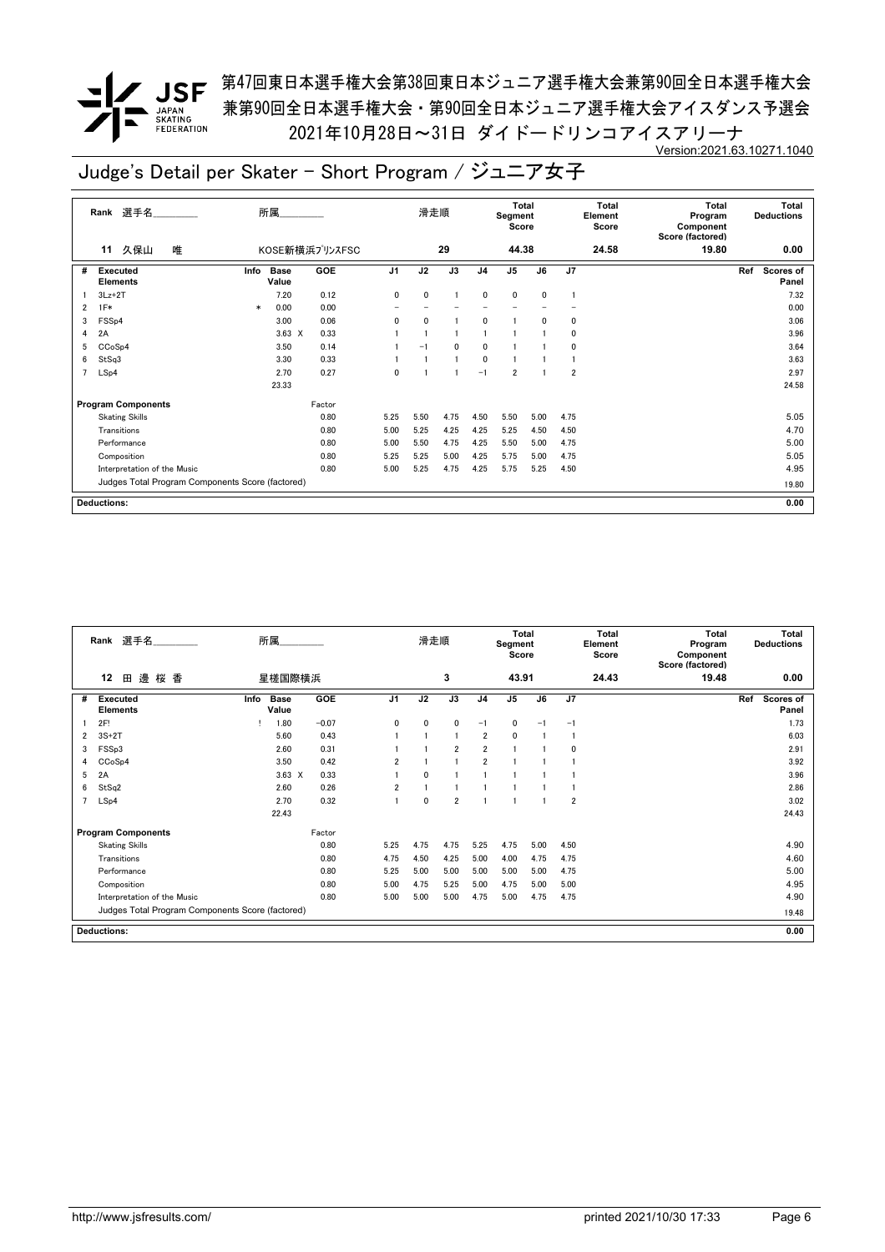**/ JSF** 第47回東日本選手権大会第38回東日本ジュニア選手権大会兼第90回全日本選手権大会 兼第90回全日本選手権大会・第90回全日本ジュニア選手権大会アイスダンス予選会 2021年10月28日~31日 ダイドードリンコアイスアリーナ Version:2021.63.10271.1040

|   | 選手名<br>Rank                                      |        | 所属                   |                |                | 滑走順          |                |                | Total<br>Segment<br>Score |              |                | Total<br>Element<br>Score | <b>Total</b><br>Program<br>Component<br>Score (factored) |     | <b>Total</b><br><b>Deductions</b> |
|---|--------------------------------------------------|--------|----------------------|----------------|----------------|--------------|----------------|----------------|---------------------------|--------------|----------------|---------------------------|----------------------------------------------------------|-----|-----------------------------------|
|   | 久保山<br>唯<br>11                                   |        |                      | KOSE新横浜プリンスFSC |                |              | 29             |                | 44.38                     |              |                | 24.58                     | 19.80                                                    |     | 0.00                              |
| # | <b>Executed</b><br><b>Elements</b>               | Info   | <b>Base</b><br>Value | <b>GOE</b>     | J <sub>1</sub> | J2           | J3             | J <sub>4</sub> | J <sub>5</sub>            | J6           | J <sub>7</sub> |                           |                                                          | Ref | Scores of<br>Panel                |
|   | $3Lz + 2T$                                       |        | 7.20                 | 0.12           | 0              | $\mathbf{0}$ |                | $\mathbf{0}$   | 0                         | $\mathbf{0}$ |                |                           |                                                          |     | 7.32                              |
| 2 | $1F*$                                            | $\ast$ | 0.00                 | 0.00           |                |              |                |                |                           |              |                |                           |                                                          |     | 0.00                              |
| 3 | FSS <sub>p4</sub>                                |        | 3.00                 | 0.06           | 0              | $\mathbf{0}$ |                | 0              |                           | 0            | 0              |                           |                                                          |     | 3.06                              |
| 4 | 2A                                               |        | $3.63 \times$        | 0.33           |                |              |                |                |                           |              | 0              |                           |                                                          |     | 3.96                              |
| 5 | CCoSp4                                           |        | 3.50                 | 0.14           |                | $-1$         | 0              | 0              |                           |              | 0              |                           |                                                          |     | 3.64                              |
| 6 | StSq3                                            |        | 3.30                 | 0.33           |                |              | $\overline{1}$ | 0              |                           |              |                |                           |                                                          |     | 3.63                              |
| 7 | LSp4                                             |        | 2.70                 | 0.27           | $\mathbf{0}$   |              |                | $-1$           | $\overline{2}$            |              | $\overline{2}$ |                           |                                                          |     | 2.97                              |
|   |                                                  |        | 23.33                |                |                |              |                |                |                           |              |                |                           |                                                          |     | 24.58                             |
|   | <b>Program Components</b>                        |        |                      | Factor         |                |              |                |                |                           |              |                |                           |                                                          |     |                                   |
|   | <b>Skating Skills</b>                            |        |                      | 0.80           | 5.25           | 5.50         | 4.75           | 4.50           | 5.50                      | 5.00         | 4.75           |                           |                                                          |     | 5.05                              |
|   | Transitions                                      |        |                      | 0.80           | 5.00           | 5.25         | 4.25           | 4.25           | 5.25                      | 4.50         | 4.50           |                           |                                                          |     | 4.70                              |
|   | Performance                                      |        |                      | 0.80           | 5.00           | 5.50         | 4.75           | 4.25           | 5.50                      | 5.00         | 4.75           |                           |                                                          |     | 5.00                              |
|   | Composition                                      |        |                      | 0.80           | 5.25           | 5.25         | 5.00           | 4.25           | 5.75                      | 5.00         | 4.75           |                           |                                                          |     | 5.05                              |
|   | Interpretation of the Music                      |        |                      | 0.80           | 5.00           | 5.25         | 4.75           | 4.25           | 5.75                      | 5.25         | 4.50           |                           |                                                          |     | 4.95                              |
|   | Judges Total Program Components Score (factored) |        |                      |                |                |              |                |                |                           |              |                |                           |                                                          |     | 19.80                             |
|   | <b>Deductions:</b>                               |        |                      |                |                |              |                |                |                           |              |                |                           |                                                          |     | 0.00                              |

|                | Rank 選手名                                         | 所属                           |            |                | 滑走順  |                |                | <b>Total</b><br>Segment<br>Score |      |                | <b>Total</b><br>Element<br>Score | <b>Total</b><br>Program<br>Component<br>Score (factored) | <b>Total</b><br><b>Deductions</b> |
|----------------|--------------------------------------------------|------------------------------|------------|----------------|------|----------------|----------------|----------------------------------|------|----------------|----------------------------------|----------------------------------------------------------|-----------------------------------|
|                | 邊<br>桜 香<br>12<br>田                              | 星槎国際横浜                       |            |                |      | 3              |                | 43.91                            |      |                | 24.43                            | 19.48                                                    | 0.00                              |
| #              | <b>Executed</b><br>Elements                      | <b>Base</b><br>Info<br>Value | <b>GOE</b> | J <sub>1</sub> | J2   | J3             | J <sub>4</sub> | $\mathsf{J}5$                    | J6   | J7             |                                  |                                                          | Ref<br>Scores of<br>Panel         |
|                | 2F!                                              | 1.80                         | $-0.07$    | 0              | 0    | 0              | $-1$           | $\mathbf 0$                      | $-1$ | $-1$           |                                  |                                                          | 1.73                              |
| 2              | $3S+2T$                                          | 5.60                         | 0.43       |                |      | 1              | $\overline{2}$ | $\mathbf 0$                      |      |                |                                  |                                                          | 6.03                              |
| 3              | FSS <sub>p3</sub>                                | 2.60                         | 0.31       |                |      | $\overline{2}$ | $\overline{2}$ | $\overline{1}$                   |      | $\Omega$       |                                  |                                                          | 2.91                              |
| 4              | CCoSp4                                           | 3.50                         | 0.42       | $\overline{2}$ |      |                | $\overline{2}$ |                                  |      |                |                                  |                                                          | 3.92                              |
| 5              | 2A                                               | $3.63 \times$                | 0.33       |                | 0    |                |                |                                  |      |                |                                  |                                                          | 3.96                              |
| 6              | StSq2                                            | 2.60                         | 0.26       | $\overline{2}$ |      |                |                |                                  |      |                |                                  |                                                          | 2.86                              |
| $\overline{7}$ | LSp4                                             | 2.70                         | 0.32       |                | 0    | $\overline{2}$ |                |                                  |      | $\overline{2}$ |                                  |                                                          | 3.02                              |
|                |                                                  | 22.43                        |            |                |      |                |                |                                  |      |                |                                  |                                                          | 24.43                             |
|                | <b>Program Components</b>                        |                              | Factor     |                |      |                |                |                                  |      |                |                                  |                                                          |                                   |
|                | <b>Skating Skills</b>                            |                              | 0.80       | 5.25           | 4.75 | 4.75           | 5.25           | 4.75                             | 5.00 | 4.50           |                                  |                                                          | 4.90                              |
|                | Transitions                                      |                              | 0.80       | 4.75           | 4.50 | 4.25           | 5.00           | 4.00                             | 4.75 | 4.75           |                                  |                                                          | 4.60                              |
|                | Performance                                      |                              | 0.80       | 5.25           | 5.00 | 5.00           | 5.00           | 5.00                             | 5.00 | 4.75           |                                  |                                                          | 5.00                              |
|                | Composition                                      |                              | 0.80       | 5.00           | 4.75 | 5.25           | 5.00           | 4.75                             | 5.00 | 5.00           |                                  |                                                          | 4.95                              |
|                | Interpretation of the Music                      |                              | 0.80       | 5.00           | 5.00 | 5.00           | 4.75           | 5.00                             | 4.75 | 4.75           |                                  |                                                          | 4.90                              |
|                | Judges Total Program Components Score (factored) |                              |            |                |      |                |                |                                  |      |                |                                  |                                                          | 19.48                             |
|                | <b>Deductions:</b>                               |                              |            |                |      |                |                |                                  |      |                |                                  |                                                          | 0.00                              |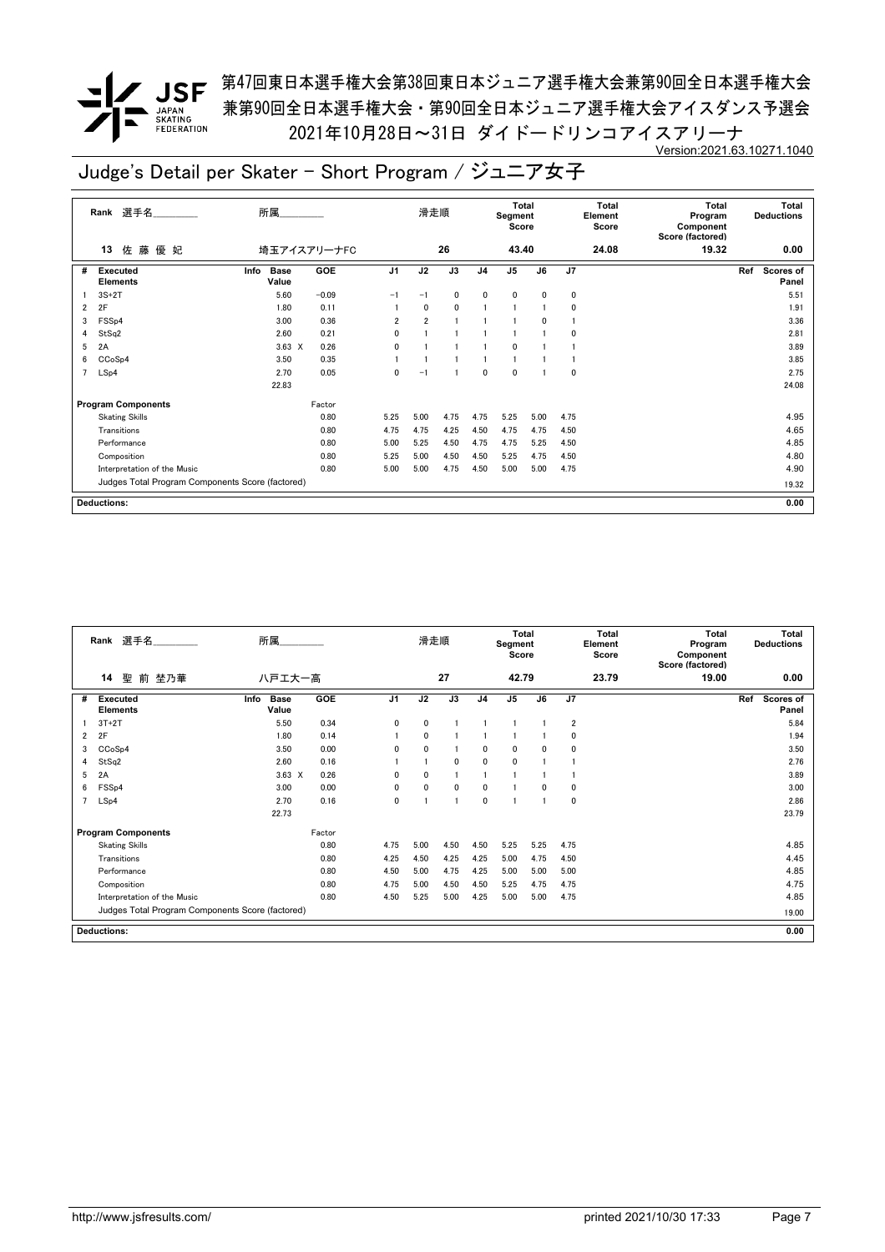**✔ JSF** <sup>第47回東日本選手権大会第38回東日本ジュニア選手権大会兼第90回全日本選手権大会</sup> 兼第90回全日本選手権大会・第90回全日本ジュニア選手権大会アイスダンス予選会 2021年10月28日~31日 ダイドードリンコアイスアリーナ Version:2021.63.10271.1040

|   | 選手名<br>Rank                                      | 所属                           |            |                | 滑走順            |                 |                | <b>Total</b><br>Segment<br>Score |                 |      | <b>Total</b><br>Element<br>Score | <b>Total</b><br>Program<br>Component<br>Score (factored) | <b>Total</b><br><b>Deductions</b> |
|---|--------------------------------------------------|------------------------------|------------|----------------|----------------|-----------------|----------------|----------------------------------|-----------------|------|----------------------------------|----------------------------------------------------------|-----------------------------------|
|   | 佐藤<br>優 妃<br>13                                  | 埼玉アイスアリーナFC                  |            |                |                | 26              |                | 43.40                            |                 |      | 24.08                            | 19.32                                                    | 0.00                              |
| # | <b>Executed</b><br><b>Elements</b>               | <b>Base</b><br>Info<br>Value | <b>GOE</b> | J <sub>1</sub> | J2             | $\overline{J3}$ | J <sub>4</sub> | $\overline{J5}$                  | $\overline{J6}$ | J7   |                                  |                                                          | Ref<br><b>Scores of</b><br>Panel  |
|   | $3S+2T$                                          | 5.60                         | $-0.09$    | $-1$           | $-1$           | 0               | 0              | 0                                | $\mathbf{0}$    | 0    |                                  |                                                          | 5.51                              |
| 2 | 2F                                               | 1.80                         | 0.11       |                | $\mathbf{0}$   | 0               |                |                                  |                 | 0    |                                  |                                                          | 1.91                              |
| 3 | FSS <sub>p4</sub>                                | 3.00                         | 0.36       | $\overline{2}$ | $\overline{2}$ | $\overline{1}$  |                |                                  | 0               |      |                                  |                                                          | 3.36                              |
| 4 | StSq2                                            | 2.60                         | 0.21       | 0              |                |                 |                |                                  |                 | 0    |                                  |                                                          | 2.81                              |
| 5 | 2A                                               | $3.63 \times$                | 0.26       | $\mathbf{0}$   |                |                 |                | 0                                |                 |      |                                  |                                                          | 3.89                              |
| 6 | CCoSp4                                           | 3.50                         | 0.35       |                |                |                 |                | 1                                |                 |      |                                  |                                                          | 3.85                              |
| 7 | LSp4                                             | 2.70                         | 0.05       | 0              | $-1$           | $\overline{1}$  | $\mathbf{0}$   | 0                                |                 | 0    |                                  |                                                          | 2.75                              |
|   |                                                  | 22.83                        |            |                |                |                 |                |                                  |                 |      |                                  |                                                          | 24.08                             |
|   | <b>Program Components</b>                        |                              | Factor     |                |                |                 |                |                                  |                 |      |                                  |                                                          |                                   |
|   | <b>Skating Skills</b>                            |                              | 0.80       | 5.25           | 5.00           | 4.75            | 4.75           | 5.25                             | 5.00            | 4.75 |                                  |                                                          | 4.95                              |
|   | Transitions                                      |                              | 0.80       | 4.75           | 4.75           | 4.25            | 4.50           | 4.75                             | 4.75            | 4.50 |                                  |                                                          | 4.65                              |
|   | Performance                                      |                              | 0.80       | 5.00           | 5.25           | 4.50            | 4.75           | 4.75                             | 5.25            | 4.50 |                                  |                                                          | 4.85                              |
|   | Composition                                      |                              | 0.80       | 5.25           | 5.00           | 4.50            | 4.50           | 5.25                             | 4.75            | 4.50 |                                  |                                                          | 4.80                              |
|   | Interpretation of the Music                      |                              | 0.80       | 5.00           | 5.00           | 4.75            | 4.50           | 5.00                             | 5.00            | 4.75 |                                  |                                                          | 4.90                              |
|   | Judges Total Program Components Score (factored) |                              |            |                |                |                 |                |                                  |                 |      |                                  |                                                          | 19.32                             |
|   | <b>Deductions:</b>                               |                              |            |                |                |                 |                |                                  |                 |      |                                  |                                                          | 0.00                              |

|                | 選手名<br>Rank                                      | 所属                           |        |              | 滑走順          |                |                | <b>Total</b><br>Segment<br>Score |          |                | <b>Total</b><br>Element<br>Score | Total<br>Program<br>Component<br>Score (factored) | Total<br><b>Deductions</b>       |
|----------------|--------------------------------------------------|------------------------------|--------|--------------|--------------|----------------|----------------|----------------------------------|----------|----------------|----------------------------------|---------------------------------------------------|----------------------------------|
|                | 14<br>聖<br>前 埜乃華                                 | ハ戸エ大一高                       |        |              |              | 27             |                | 42.79                            |          |                | 23.79                            | 19.00                                             | 0.00                             |
| #              | Executed<br><b>Elements</b>                      | Info<br><b>Base</b><br>Value | GOE    | J1           | J2           | J3             | J <sub>4</sub> | J5                               | J6       | J7             |                                  |                                                   | Ref<br><b>Scores of</b><br>Panel |
|                | $3T+2T$                                          | 5.50                         | 0.34   | $\mathbf{0}$ | $\mathbf{0}$ |                |                |                                  |          | $\overline{2}$ |                                  |                                                   | 5.84                             |
| 2              | 2F                                               | 1.80                         | 0.14   |              | $\mathbf{0}$ |                |                |                                  |          | 0              |                                  |                                                   | 1.94                             |
| 3              | CCoSp4                                           | 3.50                         | 0.00   | 0            | $\mathbf{0}$ | 1              | $\mathbf{0}$   | $\mathbf{0}$                     | $\Omega$ | 0              |                                  |                                                   | 3.50                             |
| 4              | StSq2                                            | 2.60                         | 0.16   |              |              | 0              | $\mathbf{0}$   | $\mathbf{0}$                     |          |                |                                  |                                                   | 2.76                             |
| 5              | 2A                                               | $3.63 \times$                | 0.26   | 0            | $\mathbf{0}$ |                |                |                                  |          |                |                                  |                                                   | 3.89                             |
| 6              | FSS <sub>p4</sub>                                | 3.00                         | 0.00   | 0            | $\Omega$     | 0              | $\mathbf{0}$   |                                  | $\Omega$ | 0              |                                  |                                                   | 3.00                             |
| $\overline{7}$ | LSp4                                             | 2.70                         | 0.16   | 0            |              | $\overline{1}$ | $\mathbf 0$    |                                  |          | 0              |                                  |                                                   | 2.86                             |
|                |                                                  | 22.73                        |        |              |              |                |                |                                  |          |                |                                  |                                                   | 23.79                            |
|                | <b>Program Components</b>                        |                              | Factor |              |              |                |                |                                  |          |                |                                  |                                                   |                                  |
|                | <b>Skating Skills</b>                            |                              | 0.80   | 4.75         | 5.00         | 4.50           | 4.50           | 5.25                             | 5.25     | 4.75           |                                  |                                                   | 4.85                             |
|                | Transitions                                      |                              | 0.80   | 4.25         | 4.50         | 4.25           | 4.25           | 5.00                             | 4.75     | 4.50           |                                  |                                                   | 4.45                             |
|                | Performance                                      |                              | 0.80   | 4.50         | 5.00         | 4.75           | 4.25           | 5.00                             | 5.00     | 5.00           |                                  |                                                   | 4.85                             |
|                | Composition                                      |                              | 0.80   | 4.75         | 5.00         | 4.50           | 4.50           | 5.25                             | 4.75     | 4.75           |                                  |                                                   | 4.75                             |
|                | Interpretation of the Music                      |                              | 0.80   | 4.50         | 5.25         | 5.00           | 4.25           | 5.00                             | 5.00     | 4.75           |                                  |                                                   | 4.85                             |
|                | Judges Total Program Components Score (factored) |                              |        |              |              |                |                |                                  |          |                |                                  |                                                   | 19.00                            |
|                | <b>Deductions:</b>                               |                              |        |              |              |                |                |                                  |          |                |                                  |                                                   | 0.00                             |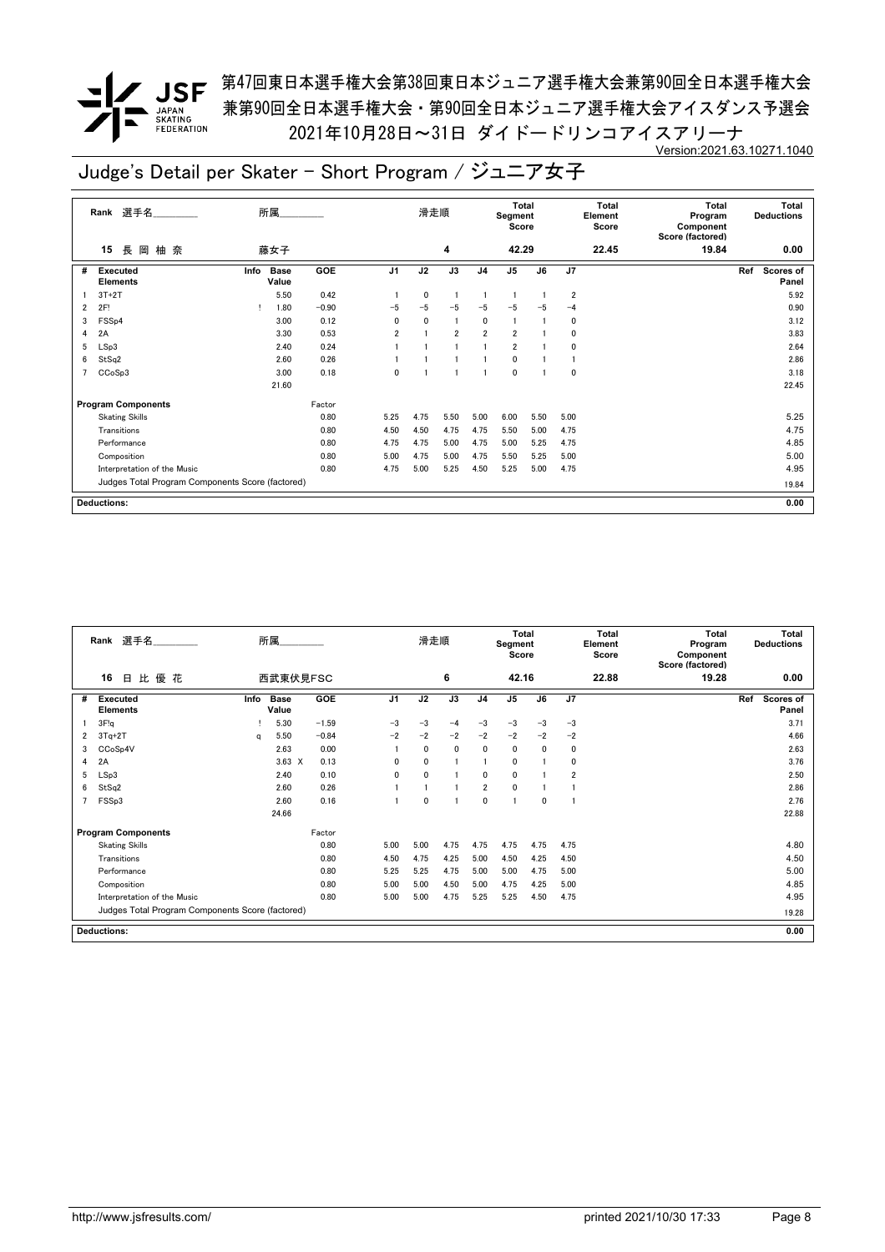**/ JSF** 第47回東日本選手権大会第38回東日本ジュニア選手権大会兼第90回全日本選手権大会 兼第90回全日本選手権大会・第90回全日本ジュニア選手権大会アイスダンス予選会 2021年10月28日~31日 ダイドードリンコアイスアリーナ Version:2021.63.10271.1040

|   | Rank 選手名                                         | 所属   |                      |         |                | 滑走順            |                 |                | <b>Total</b><br>Segment<br>Score |                 |                         | <b>Total</b><br>Element<br>Score | <b>Total</b><br>Program<br>Component<br>Score (factored) |     | Total<br><b>Deductions</b> |
|---|--------------------------------------------------|------|----------------------|---------|----------------|----------------|-----------------|----------------|----------------------------------|-----------------|-------------------------|----------------------------------|----------------------------------------------------------|-----|----------------------------|
|   | 長<br>柚 奈<br>岡<br>15                              |      | 藤女子                  |         |                |                | 4               |                | 42.29                            |                 |                         | 22.45                            | 19.84                                                    |     | 0.00                       |
| # | <b>Executed</b><br><b>Elements</b>               | Info | <b>Base</b><br>Value | GOE     | J <sub>1</sub> | J <sub>2</sub> | $\overline{J3}$ | J <sub>4</sub> | J <sub>5</sub>                   | $\overline{J6}$ | J <sub>7</sub>          |                                  |                                                          | Ref | Scores of<br>Panel         |
|   | $3T+2T$                                          |      | 5.50                 | 0.42    |                | 0              |                 |                | -1                               |                 | $\overline{\mathbf{2}}$ |                                  |                                                          |     | 5.92                       |
| 2 | 2F!                                              |      | 1.80                 | $-0.90$ | $-5$           | $-5$           | $-5$            | $-5$           | $-5$                             | $-5$            | $-4$                    |                                  |                                                          |     | 0.90                       |
| 3 | FSS <sub>p4</sub>                                |      | 3.00                 | 0.12    | $\mathbf{0}$   | $\mathbf{0}$   |                 | 0              | $\mathbf{1}$                     |                 | 0                       |                                  |                                                          |     | 3.12                       |
| 4 | 2A                                               |      | 3.30                 | 0.53    | $\overline{2}$ |                | $\overline{2}$  | $\overline{2}$ | $\overline{2}$                   |                 | 0                       |                                  |                                                          |     | 3.83                       |
| 5 | LSp3                                             |      | 2.40                 | 0.24    |                |                |                 |                | $\overline{2}$                   |                 | 0                       |                                  |                                                          |     | 2.64                       |
| 6 | StSq2                                            |      | 2.60                 | 0.26    |                |                |                 |                | 0                                |                 |                         |                                  |                                                          |     | 2.86                       |
|   | CCoSp3                                           |      | 3.00                 | 0.18    | 0              |                |                 |                | 0                                |                 | 0                       |                                  |                                                          |     | 3.18                       |
|   |                                                  |      | 21.60                |         |                |                |                 |                |                                  |                 |                         |                                  |                                                          |     | 22.45                      |
|   | <b>Program Components</b>                        |      |                      | Factor  |                |                |                 |                |                                  |                 |                         |                                  |                                                          |     |                            |
|   | <b>Skating Skills</b>                            |      |                      | 0.80    | 5.25           | 4.75           | 5.50            | 5.00           | 6.00                             | 5.50            | 5.00                    |                                  |                                                          |     | 5.25                       |
|   | Transitions                                      |      |                      | 0.80    | 4.50           | 4.50           | 4.75            | 4.75           | 5.50                             | 5.00            | 4.75                    |                                  |                                                          |     | 4.75                       |
|   | Performance                                      |      |                      | 0.80    | 4.75           | 4.75           | 5.00            | 4.75           | 5.00                             | 5.25            | 4.75                    |                                  |                                                          |     | 4.85                       |
|   | Composition                                      |      |                      | 0.80    | 5.00           | 4.75           | 5.00            | 4.75           | 5.50                             | 5.25            | 5.00                    |                                  |                                                          |     | 5.00                       |
|   | Interpretation of the Music                      |      |                      | 0.80    | 4.75           | 5.00           | 5.25            | 4.50           | 5.25                             | 5.00            | 4.75                    |                                  |                                                          |     | 4.95                       |
|   | Judges Total Program Components Score (factored) |      |                      |         |                |                |                 |                |                                  |                 |                         |                                  |                                                          |     | 19.84                      |
|   | <b>Deductions:</b>                               |      |                      |         |                |                |                 |                |                                  |                 |                         |                                  |                                                          |     | 0.00                       |

|   | Rank 選手名                                         |      | 所属                   |         |              | 滑走順          |              |                | <b>Total</b><br>Segment<br>Score |              |                | <b>Total</b><br>Element<br>Score | <b>Total</b><br>Program<br>Component<br>Score (factored) | <b>Total</b><br><b>Deductions</b> |
|---|--------------------------------------------------|------|----------------------|---------|--------------|--------------|--------------|----------------|----------------------------------|--------------|----------------|----------------------------------|----------------------------------------------------------|-----------------------------------|
|   | 比優花<br>16<br>日                                   |      | 西武東伏見FSC             |         |              |              | 6            |                | 42.16                            |              |                | 22.88                            | 19.28                                                    | 0.00                              |
| # | Executed<br><b>Elements</b>                      | Info | <b>Base</b><br>Value | GOE     | J1           | J2           | J3           | J <sub>4</sub> | J5                               | J6           | J7             |                                  |                                                          | Ref<br><b>Scores of</b><br>Panel  |
|   | 3F!q                                             |      | 5.30                 | $-1.59$ | $-3$         | $-3$         | $-4$         | $-3$           | $-3$                             | $-3$         | $-3$           |                                  |                                                          | 3.71                              |
| 2 | $3Tq+2T$                                         | a    | 5.50                 | $-0.84$ | $-2$         | $-2$         | $-2$         | $-2$           | $-2$                             | $-2$         | $-2$           |                                  |                                                          | 4.66                              |
| 3 | CCoSp4V                                          |      | 2.63                 | 0.00    |              | $\mathbf{0}$ | $\mathbf{0}$ | 0              | 0                                | 0            | 0              |                                  |                                                          | 2.63                              |
| 4 | 2A                                               |      | $3.63 \times$        | 0.13    | $\mathbf{0}$ | 0            |              |                | $\mathbf{0}$                     |              | 0              |                                  |                                                          | 3.76                              |
| 5 | LSp3                                             |      | 2.40                 | 0.10    | $\Omega$     | 0            |              | 0              | $\mathbf{0}$                     |              | $\overline{2}$ |                                  |                                                          | 2.50                              |
| 6 | StSq2                                            |      | 2.60                 | 0.26    |              |              |              | $\overline{2}$ | $\mathbf{0}$                     |              |                |                                  |                                                          | 2.86                              |
|   | FSSp3                                            |      | 2.60                 | 0.16    |              | 0            |              | $\mathbf{0}$   | $\overline{1}$                   | $\mathbf{0}$ |                |                                  |                                                          | 2.76                              |
|   |                                                  |      | 24.66                |         |              |              |              |                |                                  |              |                |                                  |                                                          | 22.88                             |
|   | <b>Program Components</b>                        |      |                      | Factor  |              |              |              |                |                                  |              |                |                                  |                                                          |                                   |
|   | <b>Skating Skills</b>                            |      |                      | 0.80    | 5.00         | 5.00         | 4.75         | 4.75           | 4.75                             | 4.75         | 4.75           |                                  |                                                          | 4.80                              |
|   | Transitions                                      |      |                      | 0.80    | 4.50         | 4.75         | 4.25         | 5.00           | 4.50                             | 4.25         | 4.50           |                                  |                                                          | 4.50                              |
|   | Performance                                      |      |                      | 0.80    | 5.25         | 5.25         | 4.75         | 5.00           | 5.00                             | 4.75         | 5.00           |                                  |                                                          | 5.00                              |
|   | Composition                                      |      |                      | 0.80    | 5.00         | 5.00         | 4.50         | 5.00           | 4.75                             | 4.25         | 5.00           |                                  |                                                          | 4.85                              |
|   | Interpretation of the Music                      |      |                      | 0.80    | 5.00         | 5.00         | 4.75         | 5.25           | 5.25                             | 4.50         | 4.75           |                                  |                                                          | 4.95                              |
|   | Judges Total Program Components Score (factored) |      |                      |         |              |              |              |                |                                  |              |                |                                  |                                                          | 19.28                             |
|   | <b>Deductions:</b>                               |      |                      |         |              |              |              |                |                                  |              |                |                                  |                                                          | 0.00                              |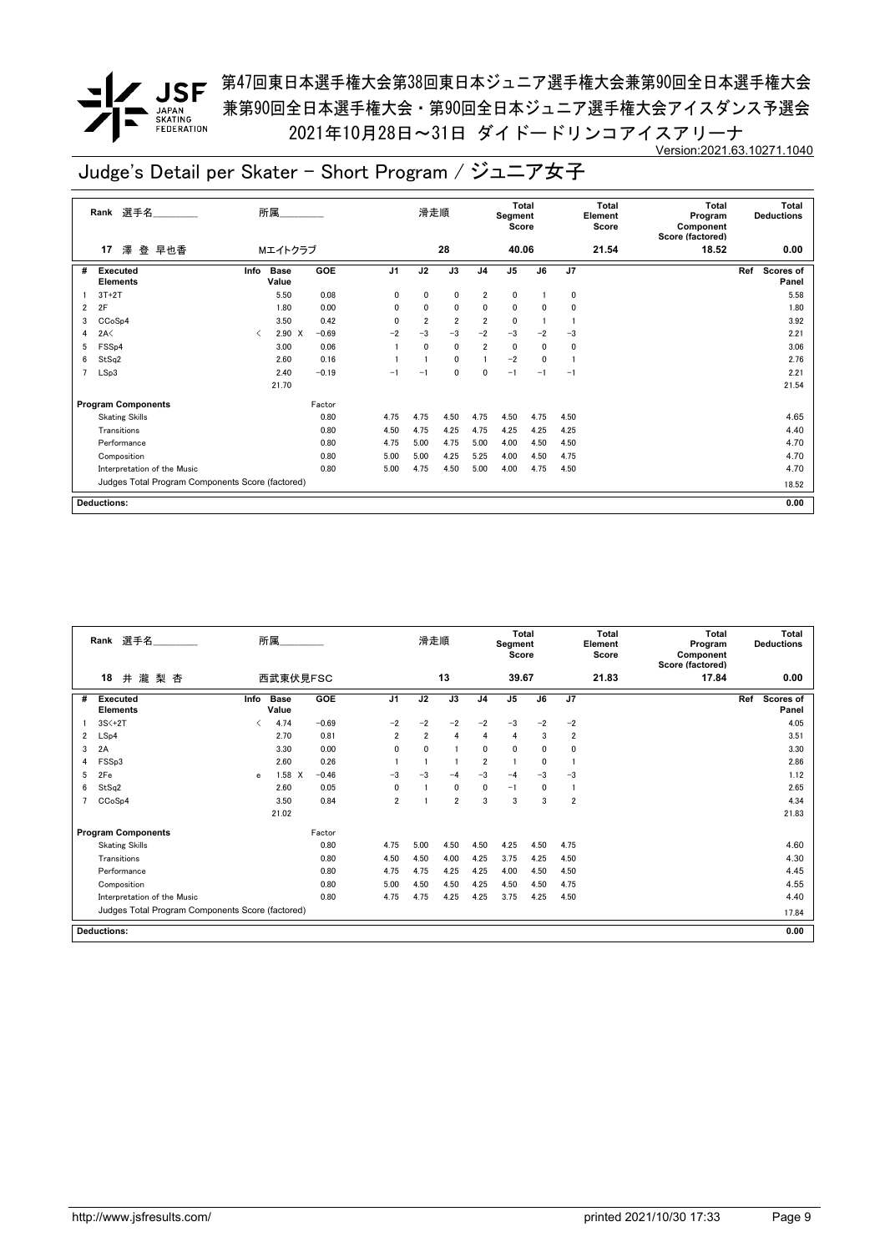**/ JSF** 第47回東日本選手権大会第38回東日本ジュニア選手権大会兼第90回全日本選手権大会 兼第90回全日本選手権大会・第90回全日本ジュニア選手権大会アイスダンス予選会 2021年10月28日~31日 ダイドードリンコアイスアリーナ Version:2021.63.10271.1040

|   | Rank 選手名                                         | 所属                           |             |         |                | 滑走順            |                 |                | <b>Total</b><br>Segment<br>Score |                 |                | <b>Total</b><br>Element<br>Score | <b>Total</b><br>Program<br>Component<br>Score (factored) |     | Total<br><b>Deductions</b> |
|---|--------------------------------------------------|------------------------------|-------------|---------|----------------|----------------|-----------------|----------------|----------------------------------|-----------------|----------------|----------------------------------|----------------------------------------------------------|-----|----------------------------|
|   | 澤<br>登 早也香<br>17                                 |                              | Mエイトクラブ     |         |                |                | 28              |                | 40.06                            |                 |                | 21.54                            | 18.52                                                    |     | 0.00                       |
| # | <b>Executed</b><br><b>Elements</b>               | <b>Base</b><br>Info<br>Value |             | GOE     | J <sub>1</sub> | J <sub>2</sub> | $\overline{J3}$ | J <sub>4</sub> | J <sub>5</sub>                   | $\overline{J6}$ | J <sub>7</sub> |                                  |                                                          | Ref | Scores of<br>Panel         |
|   | $3T+2T$                                          |                              | 5.50        | 0.08    | 0              | 0              | 0               | $\overline{2}$ | 0                                |                 | 0              |                                  |                                                          |     | 5.58                       |
| 2 | 2F                                               |                              | 1.80        | 0.00    | $\mathbf{0}$   | 0              | $\mathbf 0$     | 0              | 0                                | 0               | 0              |                                  |                                                          |     | 1.80                       |
| 3 | CCoSp4                                           |                              | 3.50        | 0.42    | $\mathbf 0$    | $\overline{2}$ | $\overline{2}$  | $\overline{2}$ | 0                                |                 |                |                                  |                                                          |     | 3.92                       |
| 4 | 2A<                                              | ≺                            | $2.90 \t X$ | $-0.69$ | $-2$           | $-3$           | $-3$            | $-2$           | $-3$                             | $-2$            | $-3$           |                                  |                                                          |     | 2.21                       |
| 5 | FSS <sub>p4</sub>                                |                              | 3.00        | 0.06    |                | $\mathbf{0}$   | $\mathbf{0}$    | $\overline{2}$ | $\mathbf 0$                      | 0               | 0              |                                  |                                                          |     | 3.06                       |
| 6 | StSq2                                            |                              | 2.60        | 0.16    |                |                | 0               |                | $-2$                             | 0               |                |                                  |                                                          |     | 2.76                       |
|   | LSp3                                             |                              | 2.40        | $-0.19$ | $-1$           | $-1$           | 0               | 0              | $-1$                             | $-1$            | $-1$           |                                  |                                                          |     | 2.21                       |
|   |                                                  | 21.70                        |             |         |                |                |                 |                |                                  |                 |                |                                  |                                                          |     | 21.54                      |
|   | <b>Program Components</b>                        |                              |             | Factor  |                |                |                 |                |                                  |                 |                |                                  |                                                          |     |                            |
|   | <b>Skating Skills</b>                            |                              |             | 0.80    | 4.75           | 4.75           | 4.50            | 4.75           | 4.50                             | 4.75            | 4.50           |                                  |                                                          |     | 4.65                       |
|   | Transitions                                      |                              |             | 0.80    | 4.50           | 4.75           | 4.25            | 4.75           | 4.25                             | 4.25            | 4.25           |                                  |                                                          |     | 4.40                       |
|   | Performance                                      |                              |             | 0.80    | 4.75           | 5.00           | 4.75            | 5.00           | 4.00                             | 4.50            | 4.50           |                                  |                                                          |     | 4.70                       |
|   | Composition                                      |                              |             | 0.80    | 5.00           | 5.00           | 4.25            | 5.25           | 4.00                             | 4.50            | 4.75           |                                  |                                                          |     | 4.70                       |
|   | Interpretation of the Music                      |                              |             | 0.80    | 5.00           | 4.75           | 4.50            | 5.00           | 4.00                             | 4.75            | 4.50           |                                  |                                                          |     | 4.70                       |
|   | Judges Total Program Components Score (factored) |                              |             |         |                |                |                 |                |                                  |                 |                |                                  |                                                          |     | 18.52                      |
|   | <b>Deductions:</b>                               |                              |             |         |                |                |                 |                |                                  |                 |                |                                  |                                                          |     | 0.00                       |

|   | 選手名<br>Rank                                      |                                          | 所属                   |         |                | 滑走順            |                |                | <b>Total</b><br>Segment<br>Score |          |                         | <b>Total</b><br>Element<br>Score | Total<br>Program<br>Component<br>Score (factored) | <b>Total</b><br><b>Deductions</b> |
|---|--------------------------------------------------|------------------------------------------|----------------------|---------|----------------|----------------|----------------|----------------|----------------------------------|----------|-------------------------|----------------------------------|---------------------------------------------------|-----------------------------------|
|   | 18<br>瀧梨杏<br>井                                   |                                          | 西武東伏見FSC             |         |                |                | 13             |                | 39.67                            |          |                         | 21.83                            | 17.84                                             | 0.00                              |
| # | Executed<br><b>Elements</b>                      | Info                                     | <b>Base</b><br>Value | GOE     | J1             | J2             | J3             | J <sub>4</sub> | J <sub>5</sub>                   | J6       | J7                      |                                  |                                                   | Ref<br><b>Scores of</b><br>Panel  |
|   | $3S<+2T$                                         | $\overline{\left\langle \right\rangle }$ | 4.74                 | $-0.69$ | $-2$           | $-2$           | $-2$           | $-2$           | $-3$                             | $-2$     | $-2$                    |                                  |                                                   | 4.05                              |
| 2 | LSp4                                             |                                          | 2.70                 | 0.81    | $\overline{2}$ | $\overline{2}$ | 4              | 4              | 4                                | 3        | $\overline{\mathbf{2}}$ |                                  |                                                   | 3.51                              |
| 3 | 2A                                               |                                          | 3.30                 | 0.00    | 0              | $\mathbf{0}$   | 1              | $\mathbf{0}$   | $\mathbf{0}$                     | $\Omega$ | 0                       |                                  |                                                   | 3.30                              |
| 4 | FSSp3                                            |                                          | 2.60                 | 0.26    |                |                |                | $\overline{2}$ |                                  | $\Omega$ |                         |                                  |                                                   | 2.86                              |
| 5 | 2Fe                                              | e                                        | $1.58$ X             | $-0.46$ | $-3$           | $-3$           | $-4$           | $-3$           | $-4$                             | $-3$     | $-3$                    |                                  |                                                   | 1.12                              |
| 6 | StSq2                                            |                                          | 2.60                 | 0.05    | $\mathbf{0}$   |                | 0              | $\mathbf{0}$   | $-1$                             | $\Omega$ |                         |                                  |                                                   | 2.65                              |
|   | CCoSp4                                           |                                          | 3.50                 | 0.84    | $\overline{2}$ |                | $\overline{2}$ | 3              | 3                                | 3        | $\overline{2}$          |                                  |                                                   | 4.34                              |
|   |                                                  |                                          | 21.02                |         |                |                |                |                |                                  |          |                         |                                  |                                                   | 21.83                             |
|   | <b>Program Components</b>                        |                                          |                      | Factor  |                |                |                |                |                                  |          |                         |                                  |                                                   |                                   |
|   | <b>Skating Skills</b>                            |                                          |                      | 0.80    | 4.75           | 5.00           | 4.50           | 4.50           | 4.25                             | 4.50     | 4.75                    |                                  |                                                   | 4.60                              |
|   | Transitions                                      |                                          |                      | 0.80    | 4.50           | 4.50           | 4.00           | 4.25           | 3.75                             | 4.25     | 4.50                    |                                  |                                                   | 4.30                              |
|   | Performance                                      |                                          |                      | 0.80    | 4.75           | 4.75           | 4.25           | 4.25           | 4.00                             | 4.50     | 4.50                    |                                  |                                                   | 4.45                              |
|   | Composition                                      |                                          |                      | 0.80    | 5.00           | 4.50           | 4.50           | 4.25           | 4.50                             | 4.50     | 4.75                    |                                  |                                                   | 4.55                              |
|   | Interpretation of the Music                      |                                          |                      | 0.80    | 4.75           | 4.75           | 4.25           | 4.25           | 3.75                             | 4.25     | 4.50                    |                                  |                                                   | 4.40                              |
|   | Judges Total Program Components Score (factored) |                                          |                      |         |                |                |                |                |                                  |          |                         |                                  |                                                   | 17.84                             |
|   | <b>Deductions:</b>                               |                                          |                      |         |                |                |                |                |                                  |          |                         |                                  |                                                   | 0.00                              |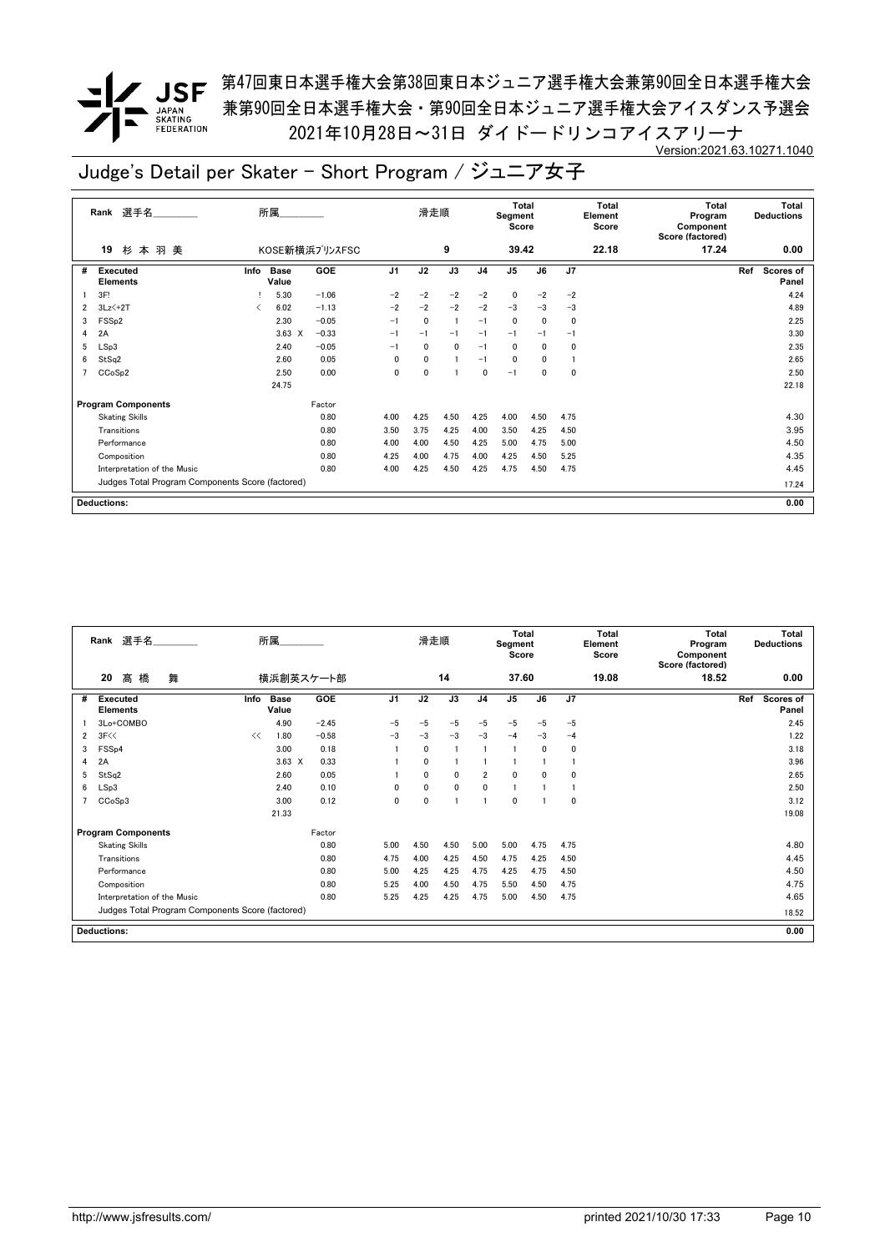<u>/</u> JSF <sup>第47回東日本選手権大会第38回東日本ジュニア選手権大会兼第90回全日本選手権大会</sup> 兼第90回全日本選手権大会・第90回全日本ジュニア選手権大会アイスダンス予選会 2021年10月28日~31日 ダイドードリンコアイスアリーナ Version:2021.63.10271.1040

|   | 選手名<br>Rank                                      |      | 所属                   |                |                | 滑走順          |              |                | Total<br>Segment<br>Score |              |      | Total<br>Element<br>Score | <b>Total</b><br>Program<br>Component<br>Score (factored) |     | <b>Total</b><br><b>Deductions</b> |
|---|--------------------------------------------------|------|----------------------|----------------|----------------|--------------|--------------|----------------|---------------------------|--------------|------|---------------------------|----------------------------------------------------------|-----|-----------------------------------|
|   | 杉本羽美<br>19                                       |      |                      | KOSE新横浜プリンスFSC |                |              | 9            |                | 39.42                     |              |      | 22.18                     | 17.24                                                    |     | 0.00                              |
| # | <b>Executed</b><br><b>Elements</b>               | Info | <b>Base</b><br>Value | <b>GOE</b>     | J <sub>1</sub> | J2           | J3           | J <sub>4</sub> | J <sub>5</sub>            | J6           | J7   |                           |                                                          | Ref | Scores of<br>Panel                |
|   | 3F!                                              |      | 5.30                 | $-1.06$        | $-2$           | $-2$         | $-2$         | $-2$           | 0                         | $-2$         | $-2$ |                           |                                                          |     | 4.24                              |
| 2 | $3Lz$ $+2T$                                      |      | 6.02                 | $-1.13$        | $-2$           | $-2$         | $-2$         | $-2$           | $-3$                      | $-3$         | $-3$ |                           |                                                          |     | 4.89                              |
| 3 | FSS <sub>p2</sub>                                |      | 2.30                 | $-0.05$        | $-1$           | $\Omega$     | $\mathbf{1}$ | $-1$           | $\mathbf 0$               | $\mathbf{0}$ | 0    |                           |                                                          |     | 2.25                              |
| 4 | 2A                                               |      | $3.63 \times$        | $-0.33$        | $-1$           | $-1$         | $-1$         | $-1$           | $-1$                      | $-1$         | $-1$ |                           |                                                          |     | 3.30                              |
| 5 | LSp3                                             |      | 2.40                 | $-0.05$        | $-1$           | 0            | 0            | $-1$           | 0                         | 0            | 0    |                           |                                                          |     | 2.35                              |
| 6 | StSq2                                            |      | 2.60                 | 0.05           | 0              | $\mathbf{0}$ |              | $-1$           | $\mathbf 0$               | 0            |      |                           |                                                          |     | 2.65                              |
|   | CCoSp2                                           |      | 2.50                 | 0.00           | 0              | 0            |              | 0              | $-1$                      | 0            | 0    |                           |                                                          |     | 2.50                              |
|   |                                                  |      | 24.75                |                |                |              |              |                |                           |              |      |                           |                                                          |     | 22.18                             |
|   | <b>Program Components</b>                        |      |                      | Factor         |                |              |              |                |                           |              |      |                           |                                                          |     |                                   |
|   | <b>Skating Skills</b>                            |      |                      | 0.80           | 4.00           | 4.25         | 4.50         | 4.25           | 4.00                      | 4.50         | 4.75 |                           |                                                          |     | 4.30                              |
|   | Transitions                                      |      |                      | 0.80           | 3.50           | 3.75         | 4.25         | 4.00           | 3.50                      | 4.25         | 4.50 |                           |                                                          |     | 3.95                              |
|   | Performance                                      |      |                      | 0.80           | 4.00           | 4.00         | 4.50         | 4.25           | 5.00                      | 4.75         | 5.00 |                           |                                                          |     | 4.50                              |
|   | Composition                                      |      |                      | 0.80           | 4.25           | 4.00         | 4.75         | 4.00           | 4.25                      | 4.50         | 5.25 |                           |                                                          |     | 4.35                              |
|   | Interpretation of the Music                      |      |                      | 0.80           | 4.00           | 4.25         | 4.50         | 4.25           | 4.75                      | 4.50         | 4.75 |                           |                                                          |     | 4.45                              |
|   | Judges Total Program Components Score (factored) |      |                      |                |                |              |              |                |                           |              |      |                           |                                                          |     | 17.24                             |
|   | <b>Deductions:</b>                               |      |                      |                |                |              |              |                |                           |              |      |                           |                                                          |     | 0.00                              |

|   | Rank 選手名                                         |      | 所属                   |           |                | 滑走順          |      |                | <b>Total</b><br>Segment<br>Score |              |              | Total<br>Element<br>Score | <b>Total</b><br>Program<br>Component<br>Score (factored) | Total<br><b>Deductions</b> |
|---|--------------------------------------------------|------|----------------------|-----------|----------------|--------------|------|----------------|----------------------------------|--------------|--------------|---------------------------|----------------------------------------------------------|----------------------------|
|   | 髙橋<br>20<br>舞                                    |      |                      | 横浜創英スケート部 |                |              | 14   |                | 37.60                            |              |              | 19.08                     | 18.52                                                    | 0.00                       |
| # | <b>Executed</b><br><b>Elements</b>               | Info | <b>Base</b><br>Value | GOE       | J <sub>1</sub> | J2           | J3   | J <sub>4</sub> | J <sub>5</sub>                   | J6           | J7           |                           |                                                          | Scores of<br>Ref<br>Panel  |
|   | 3Lo+COMBO                                        |      | 4.90                 | $-2.45$   | $-5$           | $-5$         | $-5$ | $-5$           | $-5$                             | $-5$         | $-5$         |                           |                                                          | 2.45                       |
| 2 | 3F<<                                             | <<   | 1.80                 | $-0.58$   | $-3$           | $-3$         | $-3$ | $-3$           | $-4$                             | $-3$         | $-4$         |                           |                                                          | 1.22                       |
| 3 | FSS <sub>p4</sub>                                |      | 3.00                 | 0.18      |                | $\mathbf{0}$ | -1   |                |                                  | $\mathbf{0}$ | $\mathbf{0}$ |                           |                                                          | 3.18                       |
| 4 | 2A                                               |      | $3.63 \times$        | 0.33      |                | $\mathbf{0}$ |      |                |                                  |              |              |                           |                                                          | 3.96                       |
| 5 | StSq2                                            |      | 2.60                 | 0.05      |                | $\mathbf{0}$ | 0    | $\overline{2}$ | $\mathbf{0}$                     | $\mathbf{0}$ | 0            |                           |                                                          | 2.65                       |
| 6 | LSp3                                             |      | 2.40                 | 0.10      | 0              | $\mathbf{0}$ | 0    | $\mathbf 0$    |                                  |              |              |                           |                                                          | 2.50                       |
|   | CCoSp3                                           |      | 3.00                 | 0.12      | 0              | $\mathbf{0}$ | 1    |                | $\mathbf{0}$                     |              | $\mathbf{0}$ |                           |                                                          | 3.12                       |
|   |                                                  |      | 21.33                |           |                |              |      |                |                                  |              |              |                           |                                                          | 19.08                      |
|   | <b>Program Components</b>                        |      |                      | Factor    |                |              |      |                |                                  |              |              |                           |                                                          |                            |
|   | <b>Skating Skills</b>                            |      |                      | 0.80      | 5.00           | 4.50         | 4.50 | 5.00           | 5.00                             | 4.75         | 4.75         |                           |                                                          | 4.80                       |
|   | Transitions                                      |      |                      | 0.80      | 4.75           | 4.00         | 4.25 | 4.50           | 4.75                             | 4.25         | 4.50         |                           |                                                          | 4.45                       |
|   | Performance                                      |      |                      | 0.80      | 5.00           | 4.25         | 4.25 | 4.75           | 4.25                             | 4.75         | 4.50         |                           |                                                          | 4.50                       |
|   | Composition                                      |      |                      | 0.80      | 5.25           | 4.00         | 4.50 | 4.75           | 5.50                             | 4.50         | 4.75         |                           |                                                          | 4.75                       |
|   | Interpretation of the Music                      |      |                      | 0.80      | 5.25           | 4.25         | 4.25 | 4.75           | 5.00                             | 4.50         | 4.75         |                           |                                                          | 4.65                       |
|   | Judges Total Program Components Score (factored) |      |                      |           |                |              |      |                |                                  |              |              |                           |                                                          | 18.52                      |
|   | <b>Deductions:</b>                               |      |                      |           |                |              |      |                |                                  |              |              |                           |                                                          | 0.00                       |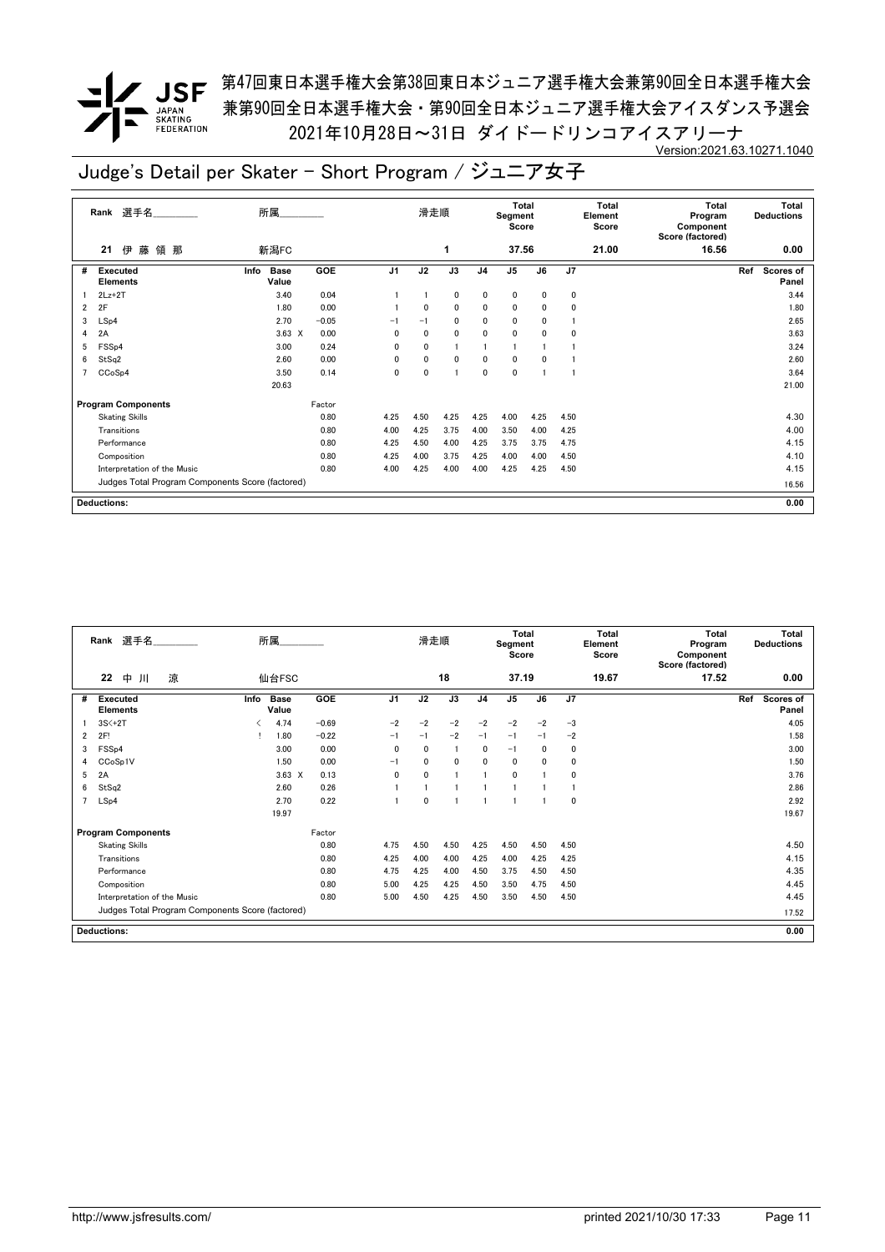**/ JSF** 第47回東日本選手権大会第38回東日本ジュニア選手権大会兼第90回全日本選手権大会 兼第90回全日本選手権大会・第90回全日本ジュニア選手権大会アイスダンス予選会 2021年10月28日~31日 ダイドードリンコアイスアリーナ Version:2021.63.10271.1040

|   | Rank 選手名                                         | 所属                           |         |                | 滑走順            |                 |                | <b>Total</b><br>Segment<br>Score |                 |      | <b>Total</b><br>Element<br>Score | <b>Total</b><br>Program<br>Component<br>Score (factored) | Total<br><b>Deductions</b>       |
|---|--------------------------------------------------|------------------------------|---------|----------------|----------------|-----------------|----------------|----------------------------------|-----------------|------|----------------------------------|----------------------------------------------------------|----------------------------------|
|   | 藤<br>領那<br>伊<br>21                               | 新潟FC                         |         |                |                | 1               |                | 37.56                            |                 |      | 21.00                            | 16.56                                                    | 0.00                             |
| # | <b>Executed</b><br><b>Elements</b>               | <b>Base</b><br>Info<br>Value | GOE     | J <sub>1</sub> | J <sub>2</sub> | $\overline{J3}$ | J <sub>4</sub> | J <sub>5</sub>                   | $\overline{J6}$ | J7   |                                  |                                                          | Ref<br><b>Scores of</b><br>Panel |
|   | $2Lz+2T$                                         | 3.40                         | 0.04    |                |                | 0               | 0              | 0                                | 0               | 0    |                                  |                                                          | 3.44                             |
| 2 | 2F                                               | 1.80                         | 0.00    |                | 0              | $\mathbf 0$     | 0              | 0                                | 0               | 0    |                                  |                                                          | 1.80                             |
| 3 | LSp4                                             | 2.70                         | $-0.05$ | $-1$           | $-1$           | 0               | 0              | 0                                | 0               |      |                                  |                                                          | 2.65                             |
| 4 | 2A                                               | $3.63 \times$                | 0.00    | 0              | 0              | 0               | 0              | 0                                | 0               | 0    |                                  |                                                          | 3.63                             |
| 5 | FSS <sub>p4</sub>                                | 3.00                         | 0.24    | 0              | $\mathbf 0$    |                 |                | $\mathbf{1}$                     |                 |      |                                  |                                                          | 3.24                             |
| 6 | StSq2                                            | 2.60                         | 0.00    | 0              | $\mathbf 0$    | $\mathbf 0$     | 0              | $\mathbf 0$                      | 0               |      |                                  |                                                          | 2.60                             |
|   | CCoSp4                                           | 3.50                         | 0.14    | $\mathbf 0$    | $\mathbf 0$    |                 | 0              | 0                                |                 |      |                                  |                                                          | 3.64                             |
|   |                                                  | 20.63                        |         |                |                |                 |                |                                  |                 |      |                                  |                                                          | 21.00                            |
|   | <b>Program Components</b>                        |                              | Factor  |                |                |                 |                |                                  |                 |      |                                  |                                                          |                                  |
|   | <b>Skating Skills</b>                            |                              | 0.80    | 4.25           | 4.50           | 4.25            | 4.25           | 4.00                             | 4.25            | 4.50 |                                  |                                                          | 4.30                             |
|   | Transitions                                      |                              | 0.80    | 4.00           | 4.25           | 3.75            | 4.00           | 3.50                             | 4.00            | 4.25 |                                  |                                                          | 4.00                             |
|   | Performance                                      |                              | 0.80    | 4.25           | 4.50           | 4.00            | 4.25           | 3.75                             | 3.75            | 4.75 |                                  |                                                          | 4.15                             |
|   | Composition                                      |                              | 0.80    | 4.25           | 4.00           | 3.75            | 4.25           | 4.00                             | 4.00            | 4.50 |                                  |                                                          | 4.10                             |
|   | Interpretation of the Music                      |                              | 0.80    | 4.00           | 4.25           | 4.00            | 4.00           | 4.25                             | 4.25            | 4.50 |                                  |                                                          | 4.15                             |
|   | Judges Total Program Components Score (factored) |                              |         |                |                |                 |                |                                  |                 |      |                                  |                                                          | 16.56                            |
|   | <b>Deductions:</b>                               |                              |         |                |                |                 |                |                                  |                 |      |                                  |                                                          | 0.00                             |

|                | 選手名<br>Rank                                      |      | 所属                   |         |      | 滑走順          |              |                | <b>Total</b><br>Segment<br>Score |          |      | <b>Total</b><br>Element<br>Score | Total<br>Program<br>Component<br>Score (factored) | <b>Total</b><br><b>Deductions</b> |
|----------------|--------------------------------------------------|------|----------------------|---------|------|--------------|--------------|----------------|----------------------------------|----------|------|----------------------------------|---------------------------------------------------|-----------------------------------|
|                | 涼<br>22<br>中<br>Л                                |      | 仙台FSC                |         |      |              | 18           |                | 37.19                            |          |      | 19.67                            | 17.52                                             | 0.00                              |
| #              | <b>Executed</b><br><b>Elements</b>               | Info | <b>Base</b><br>Value | GOE     | J1   | J2           | J3           | J <sub>4</sub> | J <sub>5</sub>                   | J6       | J7   |                                  |                                                   | Ref<br><b>Scores of</b><br>Panel  |
|                | $3S<+2T$                                         |      | 4.74                 | $-0.69$ | $-2$ | $-2$         | $-2$         | $-2$           | $-2$                             | $-2$     | $-3$ |                                  |                                                   | 4.05                              |
| 2              | 2F!                                              |      | 1.80                 | $-0.22$ | $-1$ | $-1$         | $-2$         | $-1$           | $-1$                             | $-1$     | $-2$ |                                  |                                                   | 1.58                              |
| 3              | FSSp4                                            |      | 3.00                 | 0.00    | 0    | $\Omega$     | -1           | 0              | $-1$                             | $\Omega$ | 0    |                                  |                                                   | 3.00                              |
| 4              | CCoSp1V                                          |      | 1.50                 | 0.00    | $-1$ | $\mathbf{0}$ | $\mathbf{0}$ | $\mathbf{0}$   | $\mathbf{0}$                     | $\Omega$ | 0    |                                  |                                                   | 1.50                              |
| 5              | 2A                                               |      | $3.63 \times$        | 0.13    | 0    | $\mathbf{0}$ |              |                | $\mathbf{0}$                     |          | 0    |                                  |                                                   | 3.76                              |
| 6              | StSq2                                            |      | 2.60                 | 0.26    |      |              |              |                |                                  |          |      |                                  |                                                   | 2.86                              |
| $\overline{7}$ | LSp4                                             |      | 2.70                 | 0.22    |      | $\mathbf{0}$ |              |                |                                  |          | 0    |                                  |                                                   | 2.92                              |
|                |                                                  |      | 19.97                |         |      |              |              |                |                                  |          |      |                                  |                                                   | 19.67                             |
|                | <b>Program Components</b>                        |      |                      | Factor  |      |              |              |                |                                  |          |      |                                  |                                                   |                                   |
|                | <b>Skating Skills</b>                            |      |                      | 0.80    | 4.75 | 4.50         | 4.50         | 4.25           | 4.50                             | 4.50     | 4.50 |                                  |                                                   | 4.50                              |
|                | Transitions                                      |      |                      | 0.80    | 4.25 | 4.00         | 4.00         | 4.25           | 4.00                             | 4.25     | 4.25 |                                  |                                                   | 4.15                              |
|                | Performance                                      |      |                      | 0.80    | 4.75 | 4.25         | 4.00         | 4.50           | 3.75                             | 4.50     | 4.50 |                                  |                                                   | 4.35                              |
|                | Composition                                      |      |                      | 0.80    | 5.00 | 4.25         | 4.25         | 4.50           | 3.50                             | 4.75     | 4.50 |                                  |                                                   | 4.45                              |
|                | Interpretation of the Music                      |      |                      | 0.80    | 5.00 | 4.50         | 4.25         | 4.50           | 3.50                             | 4.50     | 4.50 |                                  |                                                   | 4.45                              |
|                | Judges Total Program Components Score (factored) |      |                      |         |      |              |              |                |                                  |          |      |                                  |                                                   | 17.52                             |
|                | <b>Deductions:</b>                               |      |                      |         |      |              |              |                |                                  |          |      |                                  |                                                   | 0.00                              |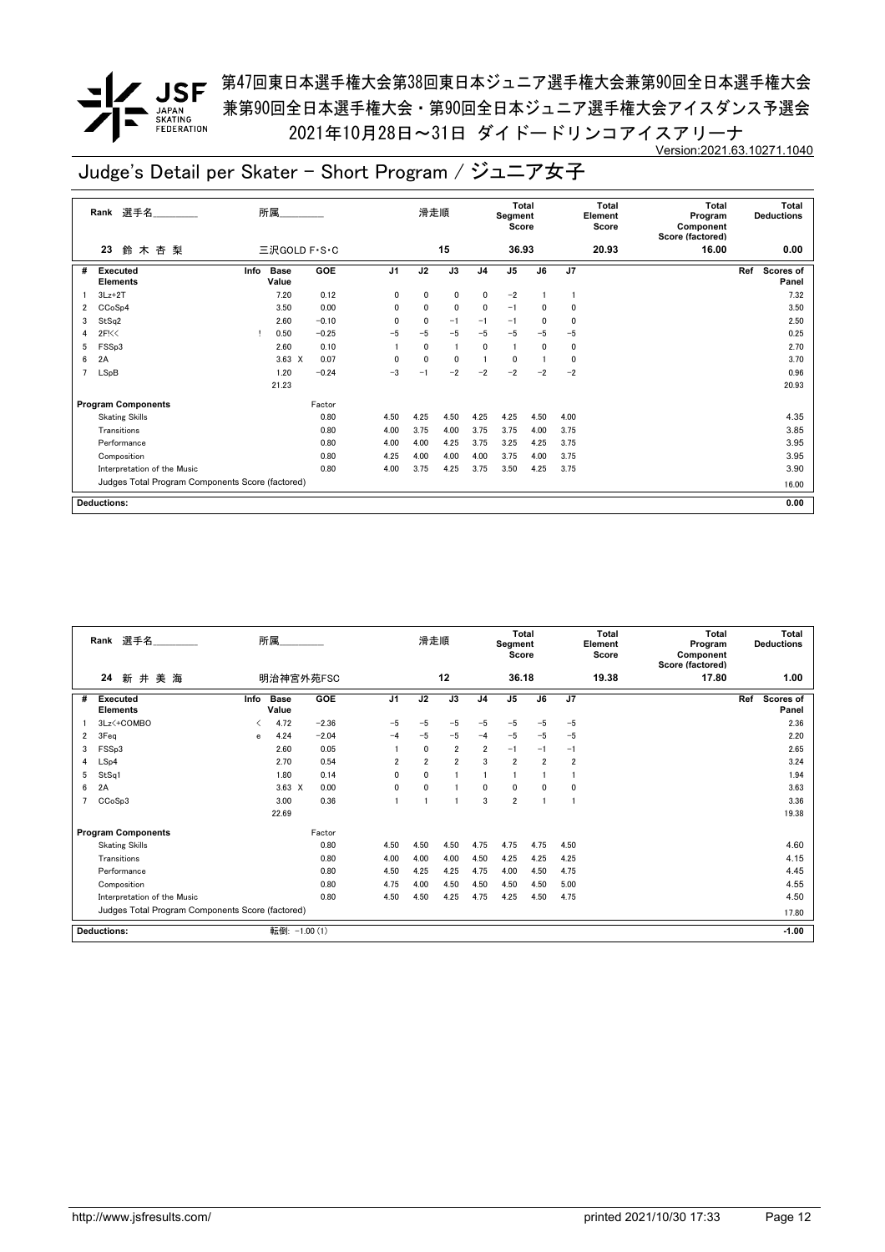**✔ JSF** <sup>第47回東日本選手権大会第38回東日本ジュニア選手権大会兼第90回全日本選手権大会</sup> 兼第90回全日本選手権大会・第90回全日本ジュニア選手権大会アイスダンス予選会 2021年10月28日~31日 ダイドードリンコアイスアリーナ Version:2021.63.10271.1040

|   | Rank 選手名                                         | 所属                           |         |                | 滑走順            |                 |                | <b>Total</b><br>Segment<br>Score |                 |      | Total<br>Element<br>Score | <b>Total</b><br>Program<br>Component<br>Score (factored) | Total<br><b>Deductions</b>       |
|---|--------------------------------------------------|------------------------------|---------|----------------|----------------|-----------------|----------------|----------------------------------|-----------------|------|---------------------------|----------------------------------------------------------|----------------------------------|
|   | 鈴木杏梨<br>23                                       | 三沢GOLD F · S · C             |         |                |                | 15              |                | 36.93                            |                 |      | 20.93                     | 16.00                                                    | 0.00                             |
| # | <b>Executed</b><br><b>Elements</b>               | <b>Base</b><br>Info<br>Value | GOE     | J <sub>1</sub> | J <sub>2</sub> | $\overline{J3}$ | J <sub>4</sub> | J <sub>5</sub>                   | $\overline{J6}$ | J7   |                           |                                                          | Ref<br><b>Scores of</b><br>Panel |
|   | $3Lz + 2T$                                       | 7.20                         | 0.12    | 0              | 0              | 0               | 0              | $-2$                             |                 |      |                           |                                                          | 7.32                             |
| 2 | CCoSp4                                           | 3.50                         | 0.00    | 0              | 0              | $\mathbf 0$     | 0              | $-1$                             | 0               | 0    |                           |                                                          | 3.50                             |
| 3 | StSq2                                            | 2.60                         | $-0.10$ | $\mathbf{0}$   | 0              | $-1$            | $-1$           | $-1$                             | 0               | 0    |                           |                                                          | 2.50                             |
| 4 | 2F<0                                             | 0.50                         | $-0.25$ | $-5$           | $-5$           | $-5$            | $-5$           | $-5$                             | $-5$            | $-5$ |                           |                                                          | 0.25                             |
| 5 | FSSp3                                            | 2.60                         | 0.10    |                | $\mathbf{0}$   |                 | $\mathbf{0}$   | $\mathbf{1}$                     | 0               | 0    |                           |                                                          | 2.70                             |
| 6 | 2A                                               | $3.63 \times$                | 0.07    | $\mathbf{0}$   | 0              | $\mathbf 0$     |                | 0                                |                 | 0    |                           |                                                          | 3.70                             |
|   | LSpB                                             | 1.20                         | $-0.24$ | $-3$           | $-1$           | $-2$            | $-2$           | $-2$                             | $-2$            | $-2$ |                           |                                                          | 0.96                             |
|   |                                                  | 21.23                        |         |                |                |                 |                |                                  |                 |      |                           |                                                          | 20.93                            |
|   | <b>Program Components</b>                        |                              | Factor  |                |                |                 |                |                                  |                 |      |                           |                                                          |                                  |
|   | <b>Skating Skills</b>                            |                              | 0.80    | 4.50           | 4.25           | 4.50            | 4.25           | 4.25                             | 4.50            | 4.00 |                           |                                                          | 4.35                             |
|   | Transitions                                      |                              | 0.80    | 4.00           | 3.75           | 4.00            | 3.75           | 3.75                             | 4.00            | 3.75 |                           |                                                          | 3.85                             |
|   | Performance                                      |                              | 0.80    | 4.00           | 4.00           | 4.25            | 3.75           | 3.25                             | 4.25            | 3.75 |                           |                                                          | 3.95                             |
|   | Composition                                      |                              | 0.80    | 4.25           | 4.00           | 4.00            | 4.00           | 3.75                             | 4.00            | 3.75 |                           |                                                          | 3.95                             |
|   | Interpretation of the Music                      |                              | 0.80    | 4.00           | 3.75           | 4.25            | 3.75           | 3.50                             | 4.25            | 3.75 |                           |                                                          | 3.90                             |
|   | Judges Total Program Components Score (factored) |                              |         |                |                |                 |                |                                  |                 |      |                           |                                                          | 16.00                            |
|   | <b>Deductions:</b>                               |                              |         |                |                |                 |                |                                  |                 |      |                           |                                                          | 0.00                             |

|   | Rank 選手名                                         |      | 所属                   |            |                | 滑走順            |                |                | <b>Total</b><br>Segment<br>Score |                |                | <b>Total</b><br>Element<br>Score | <b>Total</b><br>Program<br>Component<br>Score (factored) |     | <b>Total</b><br><b>Deductions</b> |
|---|--------------------------------------------------|------|----------------------|------------|----------------|----------------|----------------|----------------|----------------------------------|----------------|----------------|----------------------------------|----------------------------------------------------------|-----|-----------------------------------|
|   | 24<br>新井美海                                       |      | 明治神宮外苑FSC            |            |                |                | 12             |                | 36.18                            |                |                | 19.38                            | 17.80                                                    |     | 1.00                              |
| # | <b>Executed</b><br><b>Elements</b>               | Info | <b>Base</b><br>Value | <b>GOE</b> | J <sub>1</sub> | J2             | J3             | J <sub>4</sub> | J <sub>5</sub>                   | J6             | J7             |                                  |                                                          | Ref | Scores of<br>Panel                |
|   | 3Lz <+ COMBO                                     |      | 4.72                 | $-2.36$    | $-5$           | $-5$           | $-5$           | $-5$           | $-5$                             | $-5$           | $-5$           |                                  |                                                          |     | 2.36                              |
| 2 | 3Feq                                             | e    | 4.24                 | $-2.04$    | $-4$           | $-5$           | $-5$           | $-4$           | $-5$                             | $-5$           | $-5$           |                                  |                                                          |     | 2.20                              |
| 3 | FSSp3                                            |      | 2.60                 | 0.05       |                | $\mathbf{0}$   | $\overline{2}$ | $\overline{2}$ | $-1$                             | $-1$           | $-1$           |                                  |                                                          |     | 2.65                              |
| 4 | LSp4                                             |      | 2.70                 | 0.54       | 2              | $\overline{2}$ | $\overline{2}$ | 3              | $\overline{2}$                   | $\overline{2}$ | $\overline{2}$ |                                  |                                                          |     | 3.24                              |
| 5 | StSq1                                            |      | 1.80                 | 0.14       | $\mathbf{0}$   | 0              |                |                |                                  |                |                |                                  |                                                          |     | 1.94                              |
| 6 | 2A                                               |      | $3.63 \times$        | 0.00       | $\mathbf{0}$   | 0              |                | 0              | $\mathbf{0}$                     | $\mathbf{0}$   | 0              |                                  |                                                          |     | 3.63                              |
|   | CCoSp3                                           |      | 3.00                 | 0.36       |                |                |                | 3              | $\overline{2}$                   |                | 1              |                                  |                                                          |     | 3.36                              |
|   |                                                  |      | 22.69                |            |                |                |                |                |                                  |                |                |                                  |                                                          |     | 19.38                             |
|   | <b>Program Components</b>                        |      |                      | Factor     |                |                |                |                |                                  |                |                |                                  |                                                          |     |                                   |
|   | <b>Skating Skills</b>                            |      |                      | 0.80       | 4.50           | 4.50           | 4.50           | 4.75           | 4.75                             | 4.75           | 4.50           |                                  |                                                          |     | 4.60                              |
|   | Transitions                                      |      |                      | 0.80       | 4.00           | 4.00           | 4.00           | 4.50           | 4.25                             | 4.25           | 4.25           |                                  |                                                          |     | 4.15                              |
|   | Performance                                      |      |                      | 0.80       | 4.50           | 4.25           | 4.25           | 4.75           | 4.00                             | 4.50           | 4.75           |                                  |                                                          |     | 4.45                              |
|   | Composition                                      |      |                      | 0.80       | 4.75           | 4.00           | 4.50           | 4.50           | 4.50                             | 4.50           | 5.00           |                                  |                                                          |     | 4.55                              |
|   | Interpretation of the Music                      |      |                      | 0.80       | 4.50           | 4.50           | 4.25           | 4.75           | 4.25                             | 4.50           | 4.75           |                                  |                                                          |     | 4.50                              |
|   | Judges Total Program Components Score (factored) |      |                      |            |                |                |                |                |                                  |                |                |                                  |                                                          |     | 17.80                             |
|   | <b>Deductions:</b>                               |      | 転倒: -1.00 (1)        |            |                |                |                |                |                                  |                |                |                                  |                                                          |     | $-1.00$                           |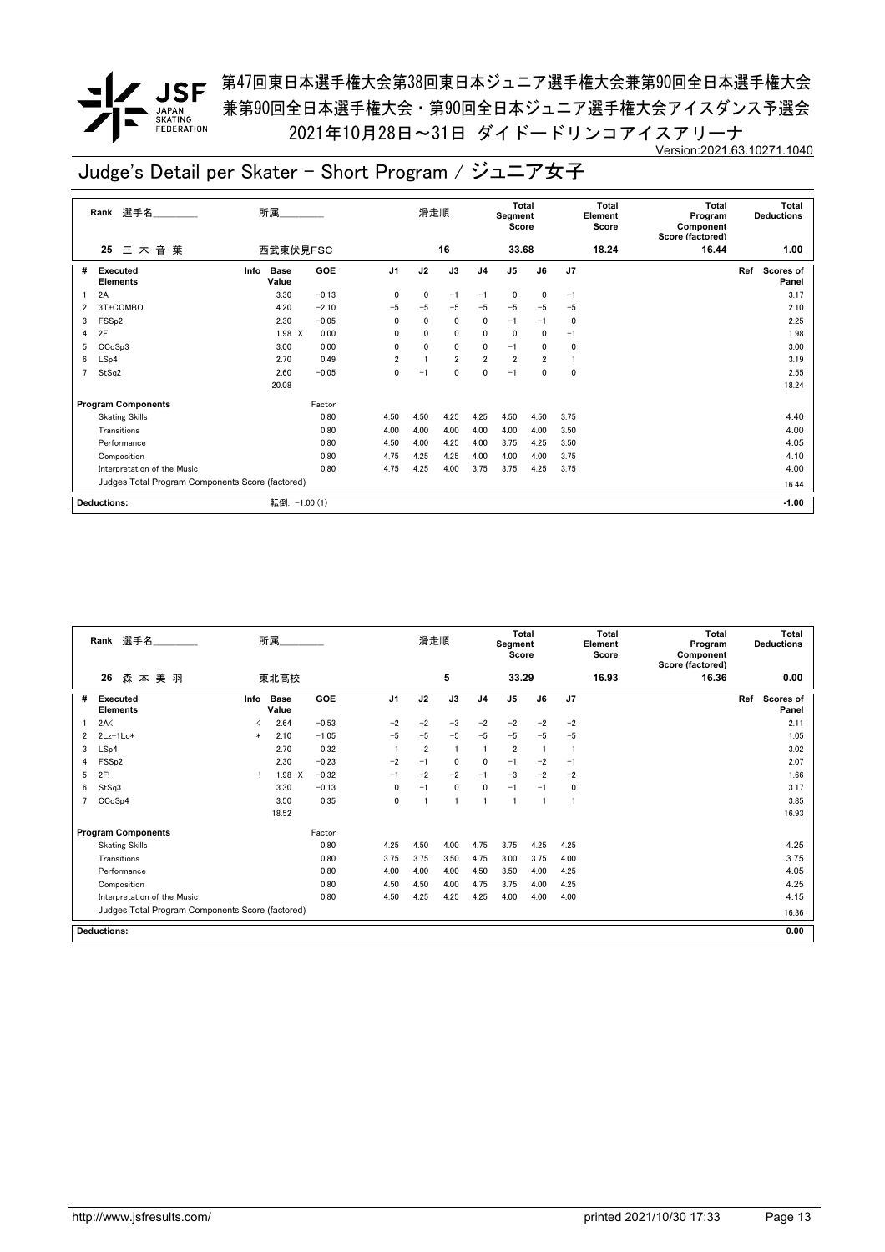**/ JSF** 第47回東日本選手権大会第38回東日本ジュニア選手権大会兼第90回全日本選手権大会 兼第90回全日本選手権大会・第90回全日本ジュニア選手権大会アイスダンス予選会 2021年10月28日~31日 ダイドードリンコアイスアリーナ Version:2021.63.10271.1040

|   | 選手名<br>Rank                                      | 所属                           |            |                | 滑走順          |                |                | Total<br>Segment<br>Score |              |      | Total<br>Element<br>Score | <b>Total</b><br>Program<br>Component<br>Score (factored) | Total<br><b>Deductions</b> |                    |
|---|--------------------------------------------------|------------------------------|------------|----------------|--------------|----------------|----------------|---------------------------|--------------|------|---------------------------|----------------------------------------------------------|----------------------------|--------------------|
|   | 音<br>三木<br>葉<br>25                               | 西武東伏見FSC                     |            |                |              | 16             |                | 33.68                     |              |      | 18.24                     | 16.44                                                    |                            | 1.00               |
| # | Executed<br><b>Elements</b>                      | <b>Base</b><br>Info<br>Value | <b>GOE</b> | J <sub>1</sub> | J2           | J3             | J <sub>4</sub> | J <sub>5</sub>            | J6           | J7   |                           |                                                          | Ref                        | Scores of<br>Panel |
|   | 2A                                               | 3.30                         | $-0.13$    | 0              | 0            | $-1$           | $-1$           | 0                         | 0            | -1   |                           |                                                          |                            | 3.17               |
| 2 | 3T+COMBO                                         | 4.20                         | $-2.10$    | $-5$           | $-5$         | $-5$           | $-5$           | $-5$                      | $-5$         | $-5$ |                           |                                                          |                            | 2.10               |
| 3 | FSS <sub>p2</sub>                                | 2.30                         | $-0.05$    | 0              | $\mathbf{0}$ | $\mathbf 0$    | 0              | $-1$                      | $-1$         | 0    |                           |                                                          |                            | 2.25               |
| 4 | 2F                                               | 1.98 X                       | 0.00       | 0              | $\mathbf{0}$ | $\mathbf 0$    | 0              | $\mathbf 0$               | $\mathbf{0}$ | $-1$ |                           |                                                          |                            | 1.98               |
| 5 | CCoSp3                                           | 3.00                         | 0.00       | 0              | $\mathbf{0}$ | $\mathbf 0$    | 0              | $-1$                      | 0            | 0    |                           |                                                          |                            | 3.00               |
| 6 | LSp4                                             | 2.70                         | 0.49       | $\overline{2}$ |              | $\overline{2}$ | $\overline{2}$ | $\overline{2}$            | 2            |      |                           |                                                          |                            | 3.19               |
| 7 | StSq2                                            | 2.60                         | $-0.05$    | 0              | $-1$         | 0              | 0              | $-1$                      | 0            | 0    |                           |                                                          |                            | 2.55               |
|   |                                                  | 20.08                        |            |                |              |                |                |                           |              |      |                           |                                                          |                            | 18.24              |
|   | <b>Program Components</b>                        |                              | Factor     |                |              |                |                |                           |              |      |                           |                                                          |                            |                    |
|   | <b>Skating Skills</b>                            |                              | 0.80       | 4.50           | 4.50         | 4.25           | 4.25           | 4.50                      | 4.50         | 3.75 |                           |                                                          |                            | 4.40               |
|   | Transitions                                      |                              | 0.80       | 4.00           | 4.00         | 4.00           | 4.00           | 4.00                      | 4.00         | 3.50 |                           |                                                          |                            | 4.00               |
|   | Performance                                      |                              | 0.80       | 4.50           | 4.00         | 4.25           | 4.00           | 3.75                      | 4.25         | 3.50 |                           |                                                          |                            | 4.05               |
|   | Composition                                      |                              | 0.80       | 4.75           | 4.25         | 4.25           | 4.00           | 4.00                      | 4.00         | 3.75 |                           |                                                          |                            | 4.10               |
|   | Interpretation of the Music                      |                              | 0.80       | 4.75           | 4.25         | 4.00           | 3.75           | 3.75                      | 4.25         | 3.75 |                           |                                                          |                            | 4.00               |
|   | Judges Total Program Components Score (factored) |                              |            |                |              |                |                |                           |              |      |                           |                                                          |                            | 16.44              |
|   | <b>Deductions:</b>                               | 転倒: -1.00 (1)                |            |                |              |                |                |                           |              |      |                           |                                                          |                            | $-1.00$            |

|   | 選手名<br>Rank                                      |        | 所属                   |         | 滑走順            |                |              | <b>Total</b><br>Segment<br>Score |                |      | <b>Total</b><br>Element<br>Score | <b>Total</b><br>Program<br>Component<br>Score (factored) | <b>Total</b><br><b>Deductions</b> |                                  |
|---|--------------------------------------------------|--------|----------------------|---------|----------------|----------------|--------------|----------------------------------|----------------|------|----------------------------------|----------------------------------------------------------|-----------------------------------|----------------------------------|
|   | 26<br>森<br>本美羽                                   |        | 東北高校                 |         |                |                | 5            |                                  | 33.29          |      |                                  | 16.93                                                    | 16.36                             | 0.00                             |
| # | Executed<br><b>Elements</b>                      | Info   | <b>Base</b><br>Value | GOE     | J <sub>1</sub> | J2             | J3           | J4                               | $\mathsf{J}5$  | J6   | J7                               |                                                          |                                   | Ref<br><b>Scores of</b><br>Panel |
|   | 2A<                                              |        | 2.64                 | $-0.53$ | $-2$           | $-2$           | $-3$         | $-2$                             | $-2$           | $-2$ | $-2$                             |                                                          |                                   | 2.11                             |
| 2 | $2Lz+1Lo*$                                       | $\ast$ | 2.10                 | $-1.05$ | $-5$           | $-5$           | $-5$         | $-5$                             | $-5$           | $-5$ | $-5$                             |                                                          |                                   | 1.05                             |
| 3 | LSp4                                             |        | 2.70                 | 0.32    |                | $\overline{2}$ |              |                                  | $\overline{2}$ |      | $\mathbf{1}$                     |                                                          |                                   | 3.02                             |
| 4 | FSS <sub>p2</sub>                                |        | 2.30                 | $-0.23$ | $-2$           | $-1$           | $\mathbf{0}$ | $\mathbf{0}$                     | $-1$           | $-2$ | $-1$                             |                                                          |                                   | 2.07                             |
| 5 | 2F!                                              |        | 1.98 X               | $-0.32$ | $-1$           | $-2$           | $-2$         | $-1$                             | $-3$           | $-2$ | $-2$                             |                                                          |                                   | 1.66                             |
| 6 | StSq3                                            |        | 3.30                 | $-0.13$ | 0              | $-1$           | 0            | $\mathbf{0}$                     | $-1$           | $-1$ | 0                                |                                                          |                                   | 3.17                             |
|   | CCoSp4                                           |        | 3.50                 | 0.35    | 0              |                |              |                                  |                |      |                                  |                                                          |                                   | 3.85                             |
|   |                                                  |        | 18.52                |         |                |                |              |                                  |                |      |                                  |                                                          |                                   | 16.93                            |
|   | <b>Program Components</b>                        |        |                      | Factor  |                |                |              |                                  |                |      |                                  |                                                          |                                   |                                  |
|   | <b>Skating Skills</b>                            |        |                      | 0.80    | 4.25           | 4.50           | 4.00         | 4.75                             | 3.75           | 4.25 | 4.25                             |                                                          |                                   | 4.25                             |
|   | Transitions                                      |        |                      | 0.80    | 3.75           | 3.75           | 3.50         | 4.75                             | 3.00           | 3.75 | 4.00                             |                                                          |                                   | 3.75                             |
|   | Performance                                      |        |                      | 0.80    | 4.00           | 4.00           | 4.00         | 4.50                             | 3.50           | 4.00 | 4.25                             |                                                          |                                   | 4.05                             |
|   | Composition                                      |        |                      | 0.80    | 4.50           | 4.50           | 4.00         | 4.75                             | 3.75           | 4.00 | 4.25                             |                                                          |                                   | 4.25                             |
|   | Interpretation of the Music                      |        |                      | 0.80    | 4.50           | 4.25           | 4.25         | 4.25                             | 4.00           | 4.00 | 4.00                             |                                                          |                                   | 4.15                             |
|   | Judges Total Program Components Score (factored) |        |                      |         |                |                |              |                                  |                |      |                                  |                                                          |                                   | 16.36                            |
|   | <b>Deductions:</b>                               |        |                      |         |                |                |              |                                  |                |      |                                  |                                                          |                                   | 0.00                             |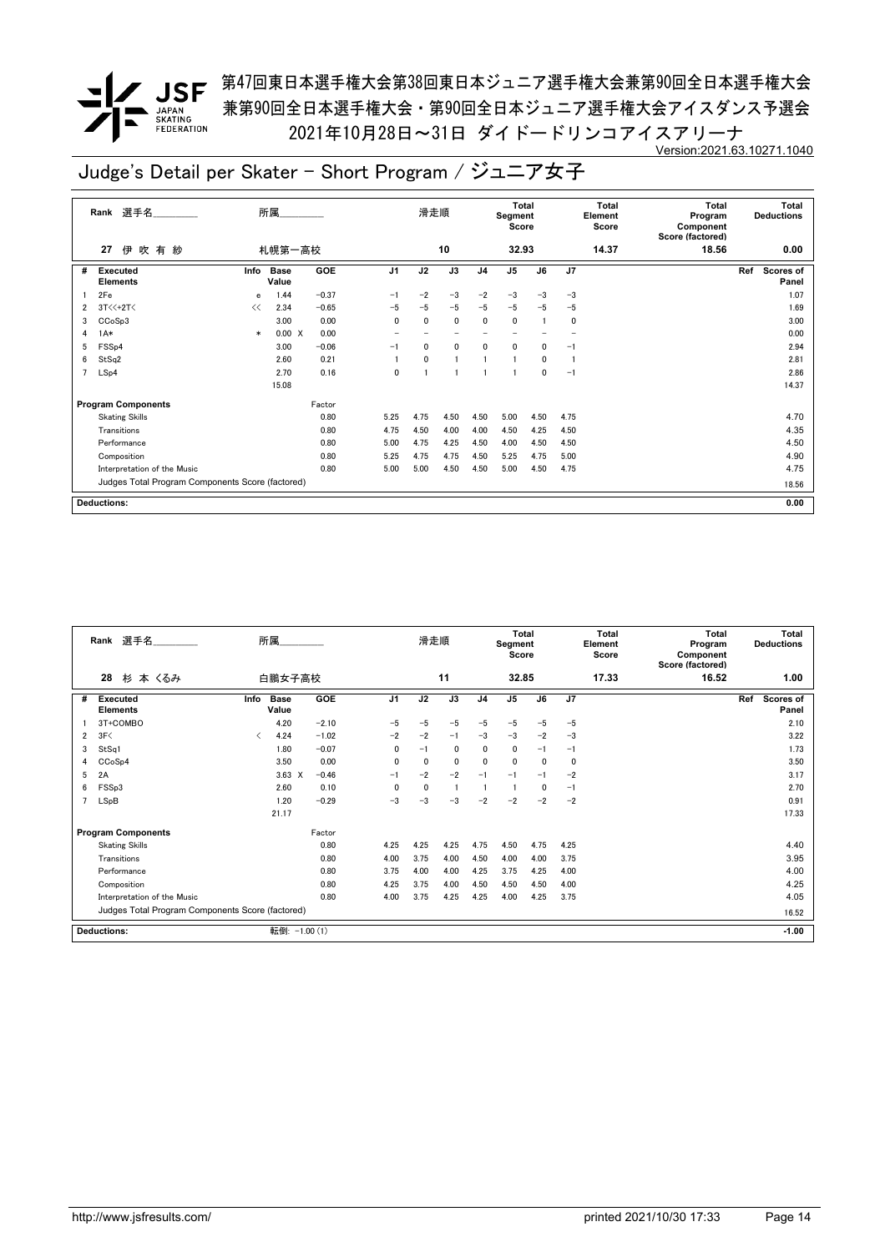**/ JSF** 第47回東日本選手権大会第38回東日本ジュニア選手権大会兼第90回全日本選手権大会 兼第90回全日本選手権大会・第90回全日本ジュニア選手権大会アイスダンス予選会 2021年10月28日~31日 ダイドードリンコアイスアリーナ Version:2021.63.10271.1040

|   | 選手名<br>Rank                                      |        | 所属                   |            |                   | 滑走順          |                          |                | Total<br>Segment<br>Score |      | Total<br>Element<br>Score |       | <b>Total</b><br>Program<br>Component<br>Score (factored) | Total<br><b>Deductions</b> |                    |
|---|--------------------------------------------------|--------|----------------------|------------|-------------------|--------------|--------------------------|----------------|---------------------------|------|---------------------------|-------|----------------------------------------------------------|----------------------------|--------------------|
|   | 伊吹有紗<br>札幌第一高校<br>27                             |        |                      |            |                   | 10           |                          |                | 32.93                     |      |                           | 14.37 | 18.56                                                    |                            | 0.00               |
| # | <b>Executed</b><br><b>Elements</b>               | Info   | <b>Base</b><br>Value | <b>GOE</b> | J <sub>1</sub>    | J2           | J3                       | J <sub>4</sub> | J <sub>5</sub>            | J6   | J <sub>7</sub>            |       |                                                          | Ref                        | Scores of<br>Panel |
|   | 2Fe                                              | e      | 1.44                 | $-0.37$    | $-1$              | $-2$         | $-3$                     | $-2$           | $-3$                      | $-3$ | $-3$                      |       |                                                          |                            | 1.07               |
| 2 | 3T<<+2T<                                         | <<     | 2.34                 | $-0.65$    | $-5$              | $-5$         | $-5$                     | $-5$           | $-5$                      | $-5$ | $-5$                      |       |                                                          |                            | 1.69               |
| 3 | CCoSp3                                           |        | 3.00                 | 0.00       | $\mathbf{0}$      | $\mathbf{0}$ | $\mathbf 0$              | 0              | 0                         |      | 0                         |       |                                                          |                            | 3.00               |
| 4 | $1A*$                                            | $\ast$ | 0.00 X               | 0.00       | $\qquad \qquad =$ |              | $\overline{\phantom{0}}$ |                | -                         |      |                           |       |                                                          |                            | 0.00               |
| 5 | FSS <sub>p4</sub>                                |        | 3.00                 | $-0.06$    | $-1$              | $\mathbf{0}$ | 0                        | 0              | 0                         | 0    | $-1$                      |       |                                                          |                            | 2.94               |
| 6 | StSq2                                            |        | 2.60                 | 0.21       |                   | $\mathbf{0}$ | $\overline{1}$           |                | 1                         | 0    |                           |       |                                                          |                            | 2.81               |
| 7 | LSp4                                             |        | 2.70                 | 0.16       | 0                 |              | $\overline{1}$           |                | 1                         | 0    | $-1$                      |       |                                                          |                            | 2.86               |
|   |                                                  |        | 15.08                |            |                   |              |                          |                |                           |      |                           |       |                                                          |                            | 14.37              |
|   | <b>Program Components</b>                        |        |                      | Factor     |                   |              |                          |                |                           |      |                           |       |                                                          |                            |                    |
|   | <b>Skating Skills</b>                            |        |                      | 0.80       | 5.25              | 4.75         | 4.50                     | 4.50           | 5.00                      | 4.50 | 4.75                      |       |                                                          |                            | 4.70               |
|   | Transitions                                      |        |                      | 0.80       | 4.75              | 4.50         | 4.00                     | 4.00           | 4.50                      | 4.25 | 4.50                      |       |                                                          |                            | 4.35               |
|   | Performance                                      |        |                      | 0.80       | 5.00              | 4.75         | 4.25                     | 4.50           | 4.00                      | 4.50 | 4.50                      |       |                                                          |                            | 4.50               |
|   | Composition                                      |        |                      | 0.80       | 5.25              | 4.75         | 4.75                     | 4.50           | 5.25                      | 4.75 | 5.00                      |       |                                                          |                            | 4.90               |
|   | Interpretation of the Music                      |        |                      | 0.80       | 5.00              | 5.00         | 4.50                     | 4.50           | 5.00                      | 4.50 | 4.75                      |       |                                                          |                            | 4.75               |
|   | Judges Total Program Components Score (factored) |        |                      |            |                   |              |                          |                |                           |      |                           |       |                                                          |                            | 18.56              |
|   | <b>Deductions:</b>                               |        |                      |            |                   |              |                          |                |                           |      |                           |       |                                                          |                            | 0.00               |

|   | Rank 選手名                                         | 所属                           |               |              | 滑走順          |      |                |                | <b>Total</b><br>Segment<br>Score | Total<br>Element<br>Score |       | <b>Total</b><br>Program<br>Component<br>Score (factored) | <b>Total</b><br><b>Deductions</b> |
|---|--------------------------------------------------|------------------------------|---------------|--------------|--------------|------|----------------|----------------|----------------------------------|---------------------------|-------|----------------------------------------------------------|-----------------------------------|
|   | 28<br>杉 本 くるみ                                    | 白鵬女子高校                       |               |              | 11           |      |                | 32.85          |                                  |                           | 17.33 | 16.52                                                    | 1.00                              |
| # | <b>Executed</b><br><b>Elements</b>               | <b>Base</b><br>Info<br>Value | GOE           | J1           | J2           | J3   | J <sub>4</sub> | J <sub>5</sub> | J6                               | J7                        |       |                                                          | Ref<br><b>Scores of</b><br>Panel  |
|   | 3T+COMBO                                         | 4.20                         | $-2.10$       | $-5$         | $-5$         | $-5$ | $-5$           | $-5$           | $-5$                             | $-5$                      |       |                                                          | 2.10                              |
| 2 | 3F<                                              | 4.24<br>$\langle$            | $-1.02$       | $-2$         | $-2$         | $-1$ | $-3$           | $-3$           | $-2$                             | $-3$                      |       |                                                          | 3.22                              |
| 3 | StSq1                                            | 1.80                         | $-0.07$       | $\Omega$     | $-1$         | 0    | $\mathbf{0}$   | 0              | $-1$                             | $-1$                      |       |                                                          | 1.73                              |
| 4 | CCoSp4                                           | 3.50                         | 0.00          | $\mathbf{0}$ | $\mathbf{0}$ | 0    | $\mathbf{0}$   | $\mathbf{0}$   | $\Omega$                         | $\mathbf{0}$              |       |                                                          | 3.50                              |
| 5 | 2A                                               | $3.63 \times$                | $-0.46$       | $-1$         | $-2$         | $-2$ | $-1$           | $-1$           | $-1$                             | $-2$                      |       |                                                          | 3.17                              |
| 6 | FSSp3                                            | 2.60                         | 0.10          | $\mathbf{0}$ | $\mathbf{0}$ |      |                |                | 0                                | $-1$                      |       |                                                          | 2.70                              |
|   | LSpB                                             | 1.20                         | $-0.29$       | $-3$         | $-3$         | $-3$ | $-2$           | $-2$           | $-2$                             | $-2$                      |       |                                                          | 0.91                              |
|   |                                                  | 21.17                        |               |              |              |      |                |                |                                  |                           |       |                                                          | 17.33                             |
|   | <b>Program Components</b>                        |                              | Factor        |              |              |      |                |                |                                  |                           |       |                                                          |                                   |
|   | <b>Skating Skills</b>                            |                              | 0.80          | 4.25         | 4.25         | 4.25 | 4.75           | 4.50           | 4.75                             | 4.25                      |       |                                                          | 4.40                              |
|   | Transitions                                      |                              | 0.80          | 4.00         | 3.75         | 4.00 | 4.50           | 4.00           | 4.00                             | 3.75                      |       |                                                          | 3.95                              |
|   | Performance                                      |                              | 0.80          | 3.75         | 4.00         | 4.00 | 4.25           | 3.75           | 4.25                             | 4.00                      |       |                                                          | 4.00                              |
|   | Composition                                      |                              | 0.80          | 4.25         | 3.75         | 4.00 | 4.50           | 4.50           | 4.50                             | 4.00                      |       |                                                          | 4.25                              |
|   | Interpretation of the Music                      |                              | 0.80          | 4.00         | 3.75         | 4.25 | 4.25           | 4.00           | 4.25                             | 3.75                      |       |                                                          | 4.05                              |
|   | Judges Total Program Components Score (factored) |                              |               |              |              |      |                |                |                                  |                           |       |                                                          | 16.52                             |
|   | Deductions:                                      |                              | 転倒: -1.00 (1) |              |              |      |                |                |                                  |                           |       |                                                          | $-1.00$                           |